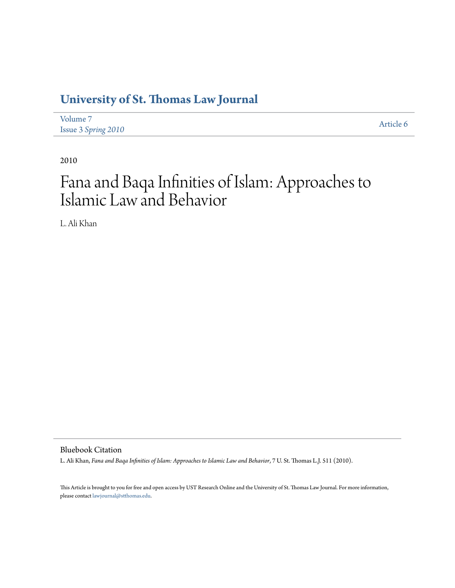# **[University of St. Thomas Law Journal](http://ir.stthomas.edu/ustlj)**

| Volume 7            | Article 6 |
|---------------------|-----------|
| Issue 3 Spring 2010 |           |

2010

# Fana and Baqa Infinities of Islam: Approaches to Islamic Law and Behavior

L. Ali Khan

Bluebook Citation

L. Ali Khan, *Fana and Baqa Infinities of Islam: Approaches to Islamic Law and Behavior*, 7 U. St. Thomas L.J. 511 (2010).

This Article is brought to you for free and open access by UST Research Online and the University of St. Thomas Law Journal. For more information, please contact [lawjournal@stthomas.edu.](mailto:lawjournal@stthomas.edu)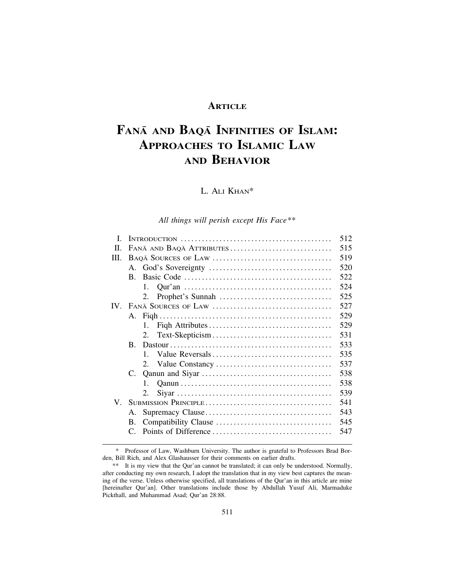## **ARTICLE**

# **FANĀ AND BAQĀ INFINITIES OF ISLAM: APPROACHES TO ISLAMIC LAW AND BEHAVIOR**

## L. ALI KHAN\*

### *All things will perish except His Face*\*\*

| L        |                          | 512 |
|----------|--------------------------|-----|
| II.      | FANĀ AND BAQĀ ATTRIBUTES | 515 |
| III.     |                          | 519 |
|          |                          | 520 |
|          | $B_{-}$                  | 522 |
|          | $\mathbf{1}_{\cdot}$     | 524 |
|          | 2.                       | 525 |
| $IV_{-}$ |                          | 527 |
|          |                          | 529 |
|          | 1.                       | 529 |
|          | 2.                       | 531 |
|          | B.                       | 533 |
|          | $\mathbf{1}$             | 535 |
|          |                          | 537 |
|          |                          | 538 |
|          | $\mathbf{1}_{\cdot}$     | 538 |
|          | 2.                       | 539 |
|          |                          | 541 |
|          | А.                       | 543 |
|          | B.                       | 545 |
|          |                          | 547 |
|          |                          |     |

\* Professor of Law, Washburn University. The author is grateful to Professors Brad Borden, Bill Rich, and Alex Glashausser for their comments on earlier drafts.

<sup>\*\*</sup> It is my view that the Qur'an cannot be translated; it can only be understood. Normally, after conducting my own research, I adopt the translation that in my view best captures the meaning of the verse. Unless otherwise specified, all translations of the Qur'an in this article are mine [hereinafter Qur'an]. Other translations include those by Abdullah Yusuf Ali, Marmaduke Pickthall, and Muhammad Asad; Qur'an 28:88.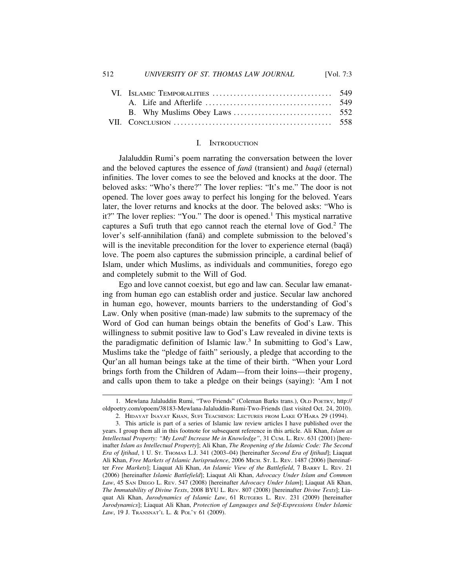#### I. INTRODUCTION

Jalaluddin Rumi's poem narrating the conversation between the lover and the beloved captures the essence of *fana* (transient) and *baqa* (eternal) infinities. The lover comes to see the beloved and knocks at the door. The beloved asks: "Who's there?" The lover replies: "It's me." The door is not opened. The lover goes away to perfect his longing for the beloved. Years later, the lover returns and knocks at the door. The beloved asks: "Who is it?" The lover replies: "You." The door is opened.<sup>1</sup> This mystical narrative captures a Sufi truth that ego cannot reach the eternal love of God.<sup>2</sup> The lover's self-annihilation (fana) and complete submission to the beloved's will is the inevitable precondition for the lover to experience eternal (baq $\bar{a}$ ) love. The poem also captures the submission principle, a cardinal belief of Islam, under which Muslims, as individuals and communities, forego ego and completely submit to the Will of God.

Ego and love cannot coexist, but ego and law can. Secular law emanating from human ego can establish order and justice. Secular law anchored in human ego, however, mounts barriers to the understanding of God's Law. Only when positive (man-made) law submits to the supremacy of the Word of God can human beings obtain the benefits of God's Law. This willingness to submit positive law to God's Law revealed in divine texts is the paradigmatic definition of Islamic law.<sup>3</sup> In submitting to God's Law, Muslims take the "pledge of faith" seriously, a pledge that according to the Qur'an all human beings take at the time of their birth. "When your Lord brings forth from the Children of Adam—from their loins—their progeny, and calls upon them to take a pledge on their beings (saying): 'Am I not

<sup>1.</sup> Mewlana Jalaluddin Rumi, "Two Friends" (Coleman Barks trans.), OLD POETRY, http:// oldpoetry.com/opoem/38183-Mewlana-Jalaluddin-Rumi-Two-Friends (last visited Oct. 24, 2010).

<sup>2.</sup> HIDAYAT INAYAT KHAN, SUFI TEACHINGS: LECTURES FROM LAKE O'HARA 29 (1994).

<sup>3.</sup> This article is part of a series of Islamic law review articles I have published over the years. I group them all in this footnote for subsequent reference in this article. Ali Khan, *Islam as Intellectual Property: "My Lord! Increase Me in Knowledge"*, 31 CUM. L. REV. 631 (2001) [hereinafter *Islam as Intellectual Property*]; Ali Khan, *The Reopening of the Islamic Code: The Second Era of Ijtihad*, 1 U. ST. THOMAS L.J. 341 (2003–04) [hereinafter *Second Era of Ijtihad*]; Liaquat Ali Khan, *Free Markets of Islamic Jurisprudence*, 2006 MICH. ST. L. REV. 1487 (2006) [hereinafter *Free Markets*]; Liaquat Ali Khan, *An Islamic View of the Battlefield*, 7 BARRY L. REV. 21 (2006) [hereinafter *Islamic Battlefield*]; Liaquat Ali Khan, *Advocacy Under Islam and Common Law*, 45 SAN DIEGO L. REV. 547 (2008) [hereinafter *Advocacy Under Islam*]; Liaquat Ali Khan, *The Immutability of Divine Texts*, 2008 BYU L. REV. 807 (2008) [hereinafter *Divine Texts*]; Liaquat Ali Khan, *Jurodynamics of Islamic Law*, 61 RUTGERS L. REV. 231 (2009) [hereinafter *Jurodynamics*]; Liaquat Ali Khan, *Protection of Languages and Self-Expressions Under Islamic Law*, 19 J. TRANSNAT'L L. & POL'Y 61 (2009).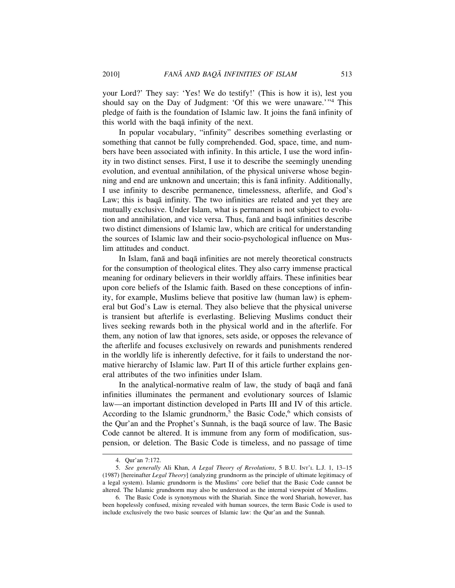your Lord?' They say: 'Yes! We do testify!' (This is how it is), lest you should say on the Day of Judgment: 'Of this we were unaware.'"<sup>4</sup> This pledge of faith is the foundation of Islamic law. It joins the fana infinity of this world with the baqa infinity of the next.

In popular vocabulary, "infinity" describes something everlasting or something that cannot be fully comprehended. God, space, time, and numbers have been associated with infinity. In this article, I use the word infinity in two distinct senses. First, I use it to describe the seemingly unending evolution, and eventual annihilation, of the physical universe whose beginning and end are unknown and uncertain; this is fana infinity. Additionally, I use infinity to describe permanence, timelessness, afterlife, and God's Law; this is baqa infinity. The two infinities are related and yet they are mutually exclusive. Under Islam, what is permanent is not subject to evolution and annihilation, and vice versa. Thus, fana and baqa infinities describe two distinct dimensions of Islamic law, which are critical for understanding the sources of Islamic law and their socio-psychological influence on Muslim attitudes and conduct.

In Islam, fanā and baqā infinities are not merely theoretical constructs for the consumption of theological elites. They also carry immense practical meaning for ordinary believers in their worldly affairs. These infinities bear upon core beliefs of the Islamic faith. Based on these conceptions of infinity, for example, Muslims believe that positive law (human law) is ephemeral but God's Law is eternal. They also believe that the physical universe is transient but afterlife is everlasting. Believing Muslims conduct their lives seeking rewards both in the physical world and in the afterlife. For them, any notion of law that ignores, sets aside, or opposes the relevance of the afterlife and focuses exclusively on rewards and punishments rendered in the worldly life is inherently defective, for it fails to understand the normative hierarchy of Islamic law. Part II of this article further explains general attributes of the two infinities under Islam.

In the analytical-normative realm of law, the study of baqa and fana infinities illuminates the permanent and evolutionary sources of Islamic law—an important distinction developed in Parts III and IV of this article. According to the Islamic grundnorm,<sup>5</sup> the Basic Code,<sup>6</sup> which consists of the Qur'an and the Prophet's Sunnah, is the baqa source of law. The Basic Code cannot be altered. It is immune from any form of modification, suspension, or deletion. The Basic Code is timeless, and no passage of time

<sup>4.</sup> Qur'an 7:172.

<sup>5.</sup> *See generally* Ali Khan, *A Legal Theory of Revolutions*, 5 B.U. INT'L L.J. 1, 13–15 (1987) [hereinafter *Legal Theory*] (analyzing grundnorm as the principle of ultimate legitimacy of a legal system). Islamic grundnorm is the Muslims' core belief that the Basic Code cannot be altered. The Islamic grundnorm may also be understood as the internal viewpoint of Muslims.

<sup>6.</sup> The Basic Code is synonymous with the Shariah. Since the word Shariah, however, has been hopelessly confused, mixing revealed with human sources, the term Basic Code is used to include exclusively the two basic sources of Islamic law: the Qur'an and the Sunnah.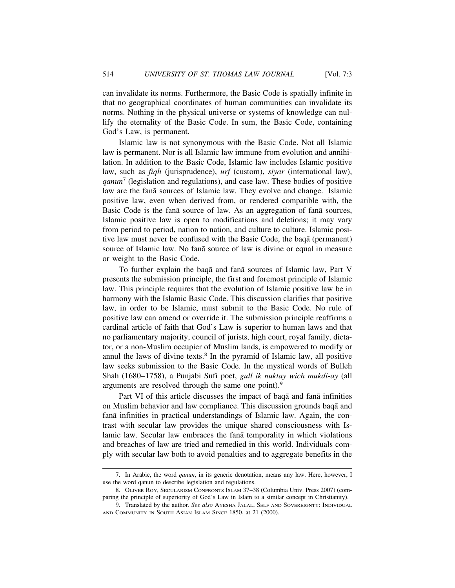can invalidate its norms. Furthermore, the Basic Code is spatially infinite in that no geographical coordinates of human communities can invalidate its norms. Nothing in the physical universe or systems of knowledge can nullify the eternality of the Basic Code. In sum, the Basic Code, containing God's Law, is permanent.

Islamic law is not synonymous with the Basic Code. Not all Islamic law is permanent. Nor is all Islamic law immune from evolution and annihilation. In addition to the Basic Code, Islamic law includes Islamic positive law, such as *fiqh* (jurisprudence), *urf* (custom), *siyar* (international law), *qanun*<sup>7</sup> (legislation and regulations), and case law. These bodies of positive law are the fana sources of Islamic law. They evolve and change. Islamic positive law, even when derived from, or rendered compatible with, the Basic Code is the fana source of law. As an aggregation of fana sources, Islamic positive law is open to modifications and deletions; it may vary from period to period, nation to nation, and culture to culture. Islamic positive law must never be confused with the Basic Code, the baqa (permanent) source of Islamic law. No fana source of law is divine or equal in measure or weight to the Basic Code.

To further explain the baqa and fana sources of Islamic law, Part V presents the submission principle, the first and foremost principle of Islamic law. This principle requires that the evolution of Islamic positive law be in harmony with the Islamic Basic Code. This discussion clarifies that positive law, in order to be Islamic, must submit to the Basic Code. No rule of positive law can amend or override it. The submission principle reaffirms a cardinal article of faith that God's Law is superior to human laws and that no parliamentary majority, council of jurists, high court, royal family, dictator, or a non-Muslim occupier of Muslim lands, is empowered to modify or annul the laws of divine texts.<sup>8</sup> In the pyramid of Islamic law, all positive law seeks submission to the Basic Code. In the mystical words of Bulleh Shah (1680–1758), a Punjabi Sufi poet, *gull ik nuktay wich mukdi-ay* (all arguments are resolved through the same one point).<sup>9</sup>

Part VI of this article discusses the impact of baqa and fana infinities on Muslim behavior and law compliance. This discussion grounds baq $\bar{a}$  and fanā infinities in practical understandings of Islamic law. Again, the contrast with secular law provides the unique shared consciousness with Islamic law. Secular law embraces the fana temporality in which violations and breaches of law are tried and remedied in this world. Individuals comply with secular law both to avoid penalties and to aggregate benefits in the

<sup>7.</sup> In Arabic, the word *qanun*, in its generic denotation, means any law. Here, however, I use the word qanun to describe legislation and regulations.

<sup>8.</sup> OLIVER ROY, SECULARISM CONFRONTS ISLAM 37–38 (Columbia Univ. Press 2007) (comparing the principle of superiority of God's Law in Islam to a similar concept in Christianity).

<sup>9.</sup> Translated by the author. *See also* AYESHA JALAL, SELF AND SOVEREIGNTY: INDIVIDUAL AND COMMUNITY IN SOUTH ASIAN ISLAM SINCE 1850, at 21 (2000).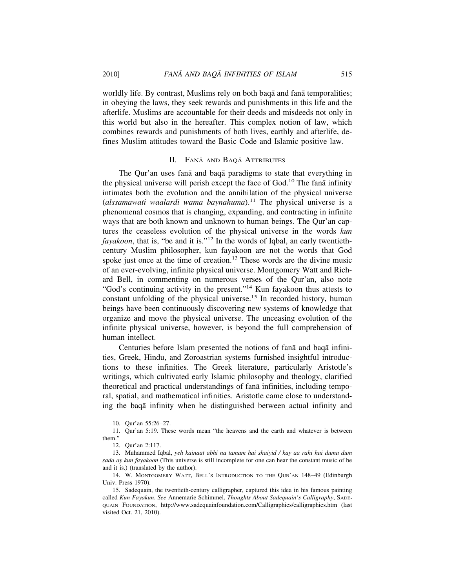worldly life. By contrast, Muslims rely on both baqa and fana temporalities; in obeying the laws, they seek rewards and punishments in this life and the afterlife. Muslims are accountable for their deeds and misdeeds not only in this world but also in the hereafter. This complex notion of law, which combines rewards and punishments of both lives, earthly and afterlife, defines Muslim attitudes toward the Basic Code and Islamic positive law.

#### II. FANĀ AND BAQĀ ATTRIBUTES

The Qur'an uses fana and baqa paradigms to state that everything in the physical universe will perish except the face of God.<sup>10</sup> The fan $\bar{a}$  infinity intimates both the evolution and the annihilation of the physical universe (*alssamawati waalardi wama baynahuma*).<sup>11</sup> The physical universe is a phenomenal cosmos that is changing, expanding, and contracting in infinite ways that are both known and unknown to human beings. The Qur'an captures the ceaseless evolution of the physical universe in the words *kun fayakoon*, that is, "be and it is."<sup>12</sup> In the words of Iqbal, an early twentiethcentury Muslim philosopher, kun fayakoon are not the words that God spoke just once at the time of creation.<sup>13</sup> These words are the divine music of an ever-evolving, infinite physical universe. Montgomery Watt and Richard Bell, in commenting on numerous verses of the Qur'an, also note "God's continuing activity in the present."14 Kun fayakoon thus attests to constant unfolding of the physical universe.<sup>15</sup> In recorded history, human beings have been continuously discovering new systems of knowledge that organize and move the physical universe. The unceasing evolution of the infinite physical universe, however, is beyond the full comprehension of human intellect.

Centuries before Islam presented the notions of fana and baqa infinities, Greek, Hindu, and Zoroastrian systems furnished insightful introductions to these infinities. The Greek literature, particularly Aristotle's writings, which cultivated early Islamic philosophy and theology, clarified theoretical and practical understandings of fana infinities, including temporal, spatial, and mathematical infinities. Aristotle came close to understanding the baga infinity when he distinguished between actual infinity and

<sup>10.</sup> Qur'an 55:26–27.

<sup>11.</sup> Qur'an 5:19. These words mean "the heavens and the earth and whatever is between them."

<sup>12.</sup> Qur'an 2:117.

<sup>13.</sup> Muhammed Iqbal, *yeh kainaat abhi na tamam hai shaiyid / kay aa rahi hai duma dum sada ay kun fayakoon* (This universe is still incomplete for one can hear the constant music of be and it is.) (translated by the author).

<sup>14.</sup> W. MONTGOMERY WATT, BELL'S INTRODUCTION TO THE QUR'AN 148–49 (Edinburgh Univ. Press 1970).

<sup>15.</sup> Sadequain, the twentieth-century calligrapher, captured this idea in his famous painting called *Kun Fayakun*. *See* Annemarie Schimmel, *Thoughts About Sadequain's Calligraphy*, SADE-QUAIN FOUNDATION, http://www.sadequainfoundation.com/Calligraphies/calligraphies.htm (last visited Oct. 21, 2010).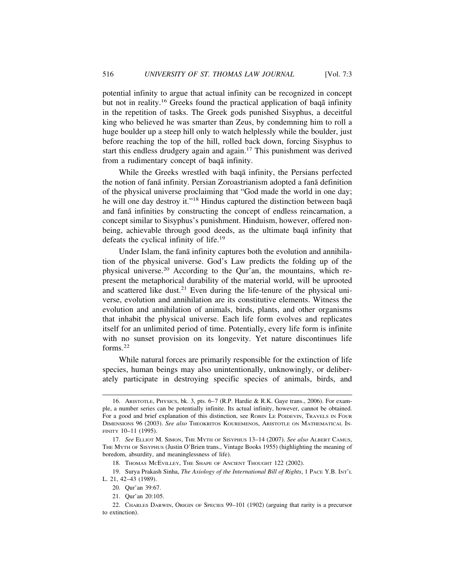potential infinity to argue that actual infinity can be recognized in concept but not in reality.<sup>16</sup> Greeks found the practical application of baq $\bar{a}$  infinity in the repetition of tasks. The Greek gods punished Sisyphus, a deceitful king who believed he was smarter than Zeus, by condemning him to roll a huge boulder up a steep hill only to watch helplessly while the boulder, just before reaching the top of the hill, rolled back down, forcing Sisyphus to start this endless drudgery again and again.17 This punishment was derived from a rudimentary concept of baqa infinity.

While the Greeks wrestled with baq $\bar{a}$  infinity, the Persians perfected the notion of fanā infinity. Persian Zoroastrianism adopted a fanā definition of the physical universe proclaiming that "God made the world in one day; he will one day destroy it."<sup>18</sup> Hindus captured the distinction between baqa and fana infinities by constructing the concept of endless reincarnation, a concept similar to Sisyphus's punishment. Hinduism, however, offered nonbeing, achievable through good deeds, as the ultimate baqa infinity that defeats the cyclical infinity of life.<sup>19</sup>

Under Islam, the fanā infinity captures both the evolution and annihilation of the physical universe. God's Law predicts the folding up of the physical universe.20 According to the Qur'an, the mountains, which represent the metaphorical durability of the material world, will be uprooted and scattered like dust.<sup>21</sup> Even during the life-tenure of the physical universe, evolution and annihilation are its constitutive elements. Witness the evolution and annihilation of animals, birds, plants, and other organisms that inhabit the physical universe. Each life form evolves and replicates itself for an unlimited period of time. Potentially, every life form is infinite with no sunset provision on its longevity. Yet nature discontinues life forms.<sup>22</sup>

While natural forces are primarily responsible for the extinction of life species, human beings may also unintentionally, unknowingly, or deliberately participate in destroying specific species of animals, birds, and

<sup>16.</sup> ARISTOTLE, PHYSICS, bk. 3, pts. 6–7 (R.P. Hardie & R.K. Gaye trans., 2006). For example, a number series can be potentially infinite. Its actual infinity, however, cannot be obtained. For a good and brief explanation of this distinction, see ROBIN LE POIDEVIN, TRAVELS IN FOUR DIMENSIONS 96 (2003). *See also* THEOKRITOS KOUREMENOS, ARISTOTLE ON MATHEMATICAL IN-FINITY 10–11 (1995).

<sup>17.</sup> *See* ELLIOT M. SIMON, THE MYTH OF SISYPHUS 13–14 (2007). *See also* ALBERT CAMUS, THE MYTH OF SISYPHUS (Justin O'Brien trans., Vintage Books 1955) (highlighting the meaning of boredom, absurdity, and meaninglessness of life).

<sup>18.</sup> THOMAS MCEVILLEY, THE SHAPE OF ANCIENT THOUGHT 122 (2002).

<sup>19.</sup> Surya Prakash Sinha, *The Axiology of the International Bill of Rights*, 1 PACE Y.B. INT'L L. 21, 42–43 (1989).

<sup>20.</sup> Qur'an 39:67.

<sup>21.</sup> Qur'an 20:105.

<sup>22.</sup> CHARLES DARWIN, ORIGIN OF SPECIES 99–101 (1902) (arguing that rarity is a precursor to extinction).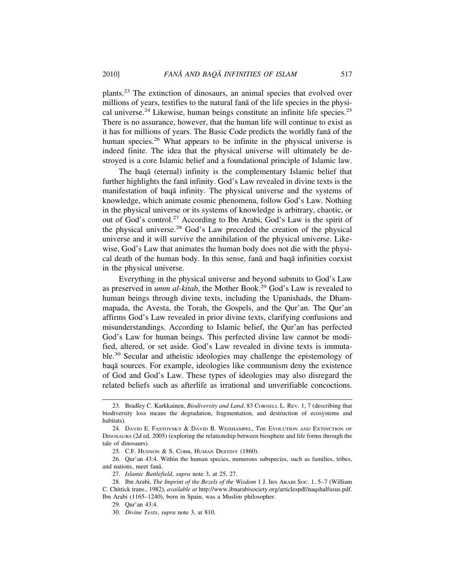plants.23 The extinction of dinosaurs, an animal species that evolved over millions of years, testifies to the natural fana of the life species in the physical universe.24 Likewise, human beings constitute an infinite life species.25 There is no assurance, however, that the human life will continue to exist as it has for millions of years. The Basic Code predicts the worldly fana of the human species.<sup>26</sup> What appears to be infinite in the physical universe is indeed finite. The idea that the physical universe will ultimately be destroyed is a core Islamic belief and a foundational principle of Islamic law.

The baqa (eternal) infinity is the complementary Islamic belief that further highlights the fana infinity. God's Law revealed in divine texts is the manifestation of baqa infinity. The physical universe and the systems of knowledge, which animate cosmic phenomena, follow God's Law. Nothing in the physical universe or its systems of knowledge is arbitrary, chaotic, or out of God's control.<sup>27</sup> According to Ibn Arabi, God's Law is the spirit of the physical universe.28 God's Law preceded the creation of the physical universe and it will survive the annihilation of the physical universe. Likewise, God's Law that animates the human body does not die with the physical death of the human body. In this sense, fana and baqa infinities coexist in the physical universe.

Everything in the physical universe and beyond submits to God's Law as preserved in *umm al-kitab*, the Mother Book.29 God's Law is revealed to human beings through divine texts, including the Upanishads, the Dhammapada, the Avesta, the Torah, the Gospels, and the Qur'an. The Qur'an affirms God's Law revealed in prior divine texts, clarifying confusions and misunderstandings. According to Islamic belief, the Qur'an has perfected God's Law for human beings. This perfected divine law cannot be modified, altered, or set aside. God's Law revealed in divine texts is immutable.30 Secular and atheistic ideologies may challenge the epistemology of baqā sources. For example, ideologies like communism deny the existence of God and God's Law. These types of ideologies may also disregard the related beliefs such as afterlife as irrational and unverifiable concoctions.

<sup>23.</sup> Bradley C. Karkkainen, *Biodiversity and Land*, 83 CORNELL L. REV. 1, 7 (describing that biodiversity loss means the degradation, fragmentation, and destruction of ecosystems and habitats).

<sup>24.</sup> DAVID E. FASTOVSKY & DAVID B. WEISHAMPEL, THE EVOLUTION AND EXTINCTION OF DINOSAURS (2d ed. 2005) (exploring the relationship between biosphere and life forms through the tale of dinosaurs).

<sup>25.</sup> C.F. HUDSON & S. COBB, HUMAN DESTINY (1860).

<sup>26.</sup> Qur'an 43:4. Within the human species, numerous subspecies, such as families, tribes, and nations, meet fanā.

<sup>27.</sup> *Islamic Battlefield*, *supra* note 3, at 25, 27.

<sup>28.</sup> Ibn Arabi, *The Imprint of the Bezels of the Wisdom* 1 J. IBN ARABI SOC. 1, 5–7 (William C. Chittick trans., 1982), *available at* http://www.ibnarabisociety.org/articlespdf/naqshalfusus.pdf. Ibn Arabi (1165–1240), born in Spain, was a Muslim philosopher.

<sup>29.</sup> Qur'an 43:4.

<sup>30.</sup> *Divine Texts*, *supra* note 3, at 810.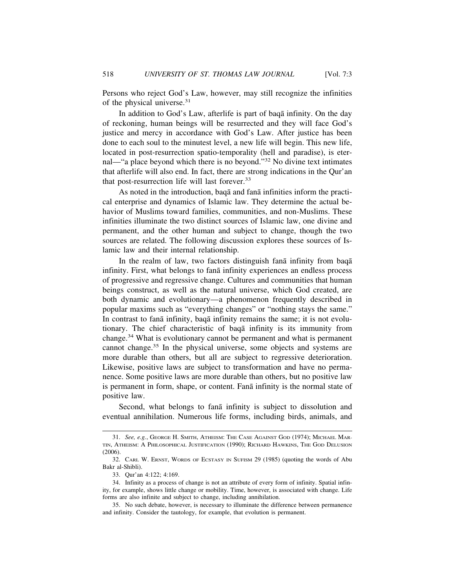Persons who reject God's Law, however, may still recognize the infinities of the physical universe.<sup>31</sup>

In addition to God's Law, afterlife is part of baqa infinity. On the day of reckoning, human beings will be resurrected and they will face God's justice and mercy in accordance with God's Law. After justice has been done to each soul to the minutest level, a new life will begin. This new life, located in post-resurrection spatio-temporality (hell and paradise), is eternal—"a place beyond which there is no beyond."32 No divine text intimates that afterlife will also end. In fact, there are strong indications in the Qur'an that post-resurrection life will last forever.<sup>33</sup>

As noted in the introduction, baqa and fana infinities inform the practical enterprise and dynamics of Islamic law. They determine the actual behavior of Muslims toward families, communities, and non-Muslims. These infinities illuminate the two distinct sources of Islamic law, one divine and permanent, and the other human and subject to change, though the two sources are related. The following discussion explores these sources of Islamic law and their internal relationship.

In the realm of law, two factors distinguish fana infinity from baqa infinity. First, what belongs to fana infinity experiences an endless process of progressive and regressive change. Cultures and communities that human beings construct, as well as the natural universe, which God created, are both dynamic and evolutionary—a phenomenon frequently described in popular maxims such as "everything changes" or "nothing stays the same." In contrast to fana infinity, baqa infinity remains the same; it is not evolutionary. The chief characteristic of baqa infinity is its immunity from change.34 What is evolutionary cannot be permanent and what is permanent cannot change.<sup>35</sup> In the physical universe, some objects and systems are more durable than others, but all are subject to regressive deterioration. Likewise, positive laws are subject to transformation and have no permanence. Some positive laws are more durable than others, but no positive law is permanent in form, shape, or content. Fana infinity is the normal state of positive law.

Second, what belongs to fana infinity is subject to dissolution and eventual annihilation. Numerous life forms, including birds, animals, and

<sup>31.</sup> *See, e.g.*, GEORGE H. SMITH, ATHEISM: THE CASE AGAINST GOD (1974); MICHAEL MAR-TIN, ATHEISM: A PHILOSOPHICAL JUSTIFICATION (1990); RICHARD HAWKINS, THE GOD DELUSION (2006).

<sup>32.</sup> CARL W. ERNST, WORDS OF ECSTASY IN SUFISM 29 (1985) (quoting the words of Abu Bakr al-Shibli).

<sup>33.</sup> Qur'an 4:122; 4:169.

<sup>34.</sup> Infinity as a process of change is not an attribute of every form of infinity. Spatial infinity, for example, shows little change or mobility. Time, however, is associated with change. Life forms are also infinite and subject to change, including annihilation.

<sup>35.</sup> No such debate, however, is necessary to illuminate the difference between permanence and infinity. Consider the tautology, for example, that evolution is permanent.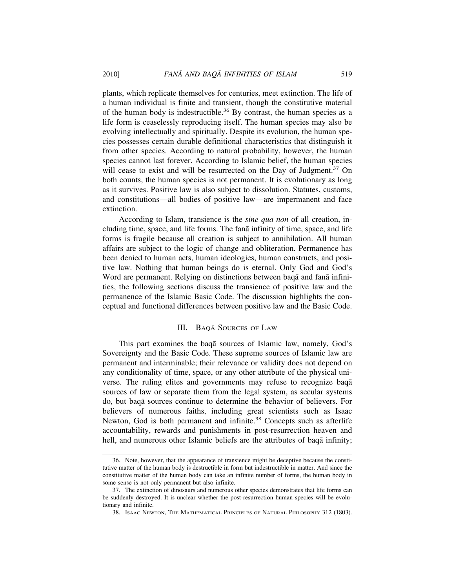plants, which replicate themselves for centuries, meet extinction. The life of a human individual is finite and transient, though the constitutive material of the human body is indestructible.<sup>36</sup> By contrast, the human species as a life form is ceaselessly reproducing itself. The human species may also be evolving intellectually and spiritually. Despite its evolution, the human species possesses certain durable definitional characteristics that distinguish it from other species. According to natural probability, however, the human species cannot last forever. According to Islamic belief, the human species will cease to exist and will be resurrected on the Day of Judgment.<sup>37</sup> On both counts, the human species is not permanent. It is evolutionary as long as it survives. Positive law is also subject to dissolution. Statutes, customs, and constitutions—all bodies of positive law—are impermanent and face extinction.

According to Islam, transience is the *sine qua non* of all creation, including time, space, and life forms. The fana infinity of time, space, and life forms is fragile because all creation is subject to annihilation. All human affairs are subject to the logic of change and obliteration. Permanence has been denied to human acts, human ideologies, human constructs, and positive law. Nothing that human beings do is eternal. Only God and God's Word are permanent. Relying on distinctions between baqa and fana infinities, the following sections discuss the transience of positive law and the permanence of the Islamic Basic Code. The discussion highlights the conceptual and functional differences between positive law and the Basic Code.

#### III. BAQĀ SOURCES OF LAW

This part examines the baqa sources of Islamic law, namely, God's Sovereignty and the Basic Code. These supreme sources of Islamic law are permanent and interminable; their relevance or validity does not depend on any conditionality of time, space, or any other attribute of the physical universe. The ruling elites and governments may refuse to recognize baqa sources of law or separate them from the legal system, as secular systems do, but baq¯a sources continue to determine the behavior of believers. For believers of numerous faiths, including great scientists such as Isaac Newton, God is both permanent and infinite.<sup>38</sup> Concepts such as afterlife accountability, rewards and punishments in post-resurrection heaven and hell, and numerous other Islamic beliefs are the attributes of baqa infinity;

<sup>36.</sup> Note, however, that the appearance of transience might be deceptive because the constitutive matter of the human body is destructible in form but indestructible in matter. And since the constitutive matter of the human body can take an infinite number of forms, the human body in some sense is not only permanent but also infinite.

<sup>37.</sup> The extinction of dinosaurs and numerous other species demonstrates that life forms can be suddenly destroyed. It is unclear whether the post-resurrection human species will be evolutionary and infinite.

<sup>38.</sup> ISAAC NEWTON, THE MATHEMATICAL PRINCIPLES OF NATURAL PHILOSOPHY 312 (1803).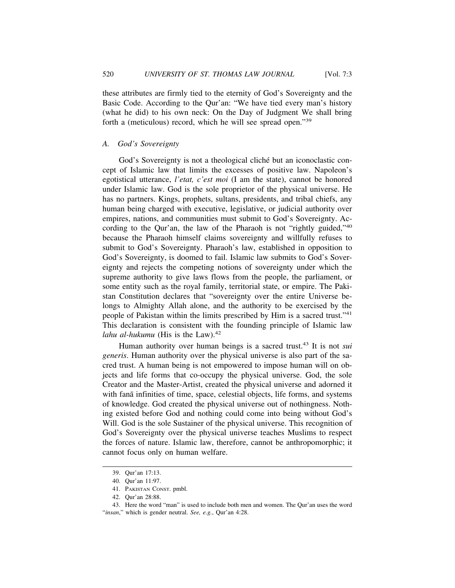these attributes are firmly tied to the eternity of God's Sovereignty and the Basic Code. According to the Qur'an: "We have tied every man's history (what he did) to his own neck: On the Day of Judgment We shall bring forth a (meticulous) record, which he will see spread open."<sup>39</sup>

#### *A. God's Sovereignty*

God's Sovereignty is not a theological cliché but an iconoclastic concept of Islamic law that limits the excesses of positive law. Napoleon's egotistical utterance, *l'etat, c'est moi* (I am the state), cannot be honored under Islamic law. God is the sole proprietor of the physical universe. He has no partners. Kings, prophets, sultans, presidents, and tribal chiefs, any human being charged with executive, legislative, or judicial authority over empires, nations, and communities must submit to God's Sovereignty. According to the Qur'an, the law of the Pharaoh is not "rightly guided,"<sup>40</sup> because the Pharaoh himself claims sovereignty and willfully refuses to submit to God's Sovereignty. Pharaoh's law, established in opposition to God's Sovereignty, is doomed to fail. Islamic law submits to God's Sovereignty and rejects the competing notions of sovereignty under which the supreme authority to give laws flows from the people, the parliament, or some entity such as the royal family, territorial state, or empire. The Pakistan Constitution declares that "sovereignty over the entire Universe belongs to Almighty Allah alone, and the authority to be exercised by the people of Pakistan within the limits prescribed by Him is a sacred trust."<sup>41</sup> This declaration is consistent with the founding principle of Islamic law *lahu al-hukumu* (His is the Law). $42$ 

Human authority over human beings is a sacred trust.43 It is not *sui generis*. Human authority over the physical universe is also part of the sacred trust. A human being is not empowered to impose human will on objects and life forms that co-occupy the physical universe. God, the sole Creator and the Master-Artist, created the physical universe and adorned it with fanā infinities of time, space, celestial objects, life forms, and systems of knowledge. God created the physical universe out of nothingness. Nothing existed before God and nothing could come into being without God's Will. God is the sole Sustainer of the physical universe. This recognition of God's Sovereignty over the physical universe teaches Muslims to respect the forces of nature. Islamic law, therefore, cannot be anthropomorphic; it cannot focus only on human welfare.

<sup>39.</sup> Qur'an 17:13.

<sup>40.</sup> Qur'an 11:97.

<sup>41.</sup> PAKISTAN CONST. pmbl.

<sup>42.</sup> Qur'an 28:88.

<sup>43.</sup> Here the word "man" is used to include both men and women. The Qur'an uses the word "*insan*," which is gender neutral. *See, e.g.*, Qur'an 4:28.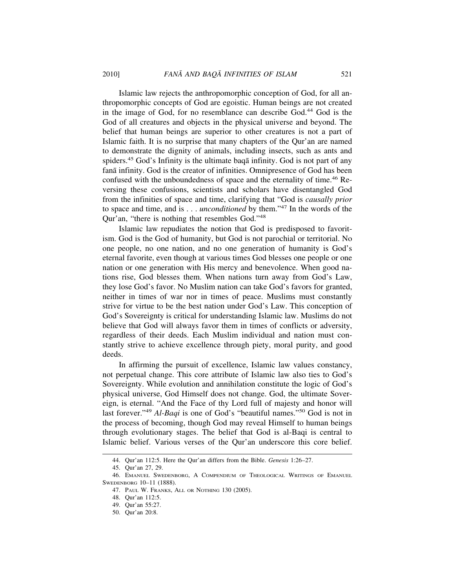Islamic law rejects the anthropomorphic conception of God, for all anthropomorphic concepts of God are egoistic. Human beings are not created in the image of God, for no resemblance can describe God.44 God is the God of all creatures and objects in the physical universe and beyond. The belief that human beings are superior to other creatures is not a part of Islamic faith. It is no surprise that many chapters of the Qur'an are named to demonstrate the dignity of animals, including insects, such as ants and spiders.<sup>45</sup> God's Infinity is the ultimate baga infinity. God is not part of any fanā infinity. God is the creator of infinities. Omnipresence of God has been confused with the unboundedness of space and the eternality of time.<sup>46</sup> Reversing these confusions, scientists and scholars have disentangled God from the infinities of space and time, clarifying that "God is *causally prior* to space and time, and is . . . *unconditioned* by them."47 In the words of the Qur'an, "there is nothing that resembles God."<sup>48</sup>

Islamic law repudiates the notion that God is predisposed to favoritism. God is the God of humanity, but God is not parochial or territorial. No one people, no one nation, and no one generation of humanity is God's eternal favorite, even though at various times God blesses one people or one nation or one generation with His mercy and benevolence. When good nations rise, God blesses them. When nations turn away from God's Law, they lose God's favor. No Muslim nation can take God's favors for granted, neither in times of war nor in times of peace. Muslims must constantly strive for virtue to be the best nation under God's Law. This conception of God's Sovereignty is critical for understanding Islamic law. Muslims do not believe that God will always favor them in times of conflicts or adversity, regardless of their deeds. Each Muslim individual and nation must constantly strive to achieve excellence through piety, moral purity, and good deeds.

In affirming the pursuit of excellence, Islamic law values constancy, not perpetual change. This core attribute of Islamic law also ties to God's Sovereignty. While evolution and annihilation constitute the logic of God's physical universe, God Himself does not change. God, the ultimate Sovereign, is eternal. "And the Face of thy Lord full of majesty and honor will last forever."<sup>49</sup> *Al-Baqi* is one of God's "beautiful names."50 God is not in the process of becoming, though God may reveal Himself to human beings through evolutionary stages. The belief that God is al-Baqi is central to Islamic belief. Various verses of the Qur'an underscore this core belief.

<sup>44.</sup> Qur'an 112:5. Here the Qur'an differs from the Bible. *Genesis* 1:26–27.

<sup>45.</sup> Qur'an 27, 29.

<sup>46.</sup> EMANUEL SWEDENBORG, A COMPENDIUM OF THEOLOGICAL WRITINGS OF EMANUEL SWEDENBORG 10–11 (1888).

<sup>47.</sup> PAUL W. FRANKS, ALL OR NOTHING 130 (2005).

<sup>48.</sup> Qur'an 112:5.

<sup>49.</sup> Qur'an 55:27.

<sup>50.</sup> Qur'an 20:8.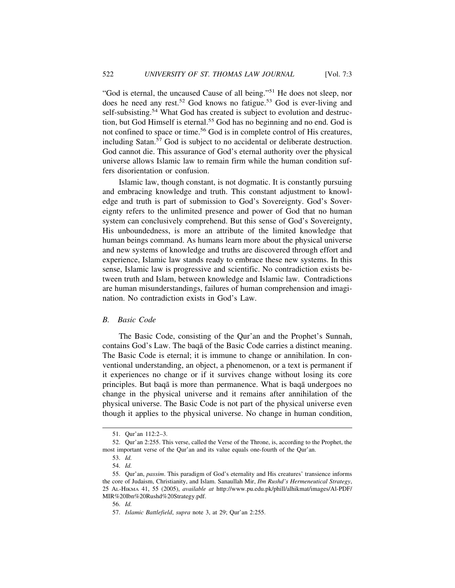"God is eternal, the uncaused Cause of all being."51 He does not sleep, nor does he need any rest.<sup>52</sup> God knows no fatigue.<sup>53</sup> God is ever-living and self-subsisting.<sup>54</sup> What God has created is subject to evolution and destruction, but God Himself is eternal.<sup>55</sup> God has no beginning and no end. God is not confined to space or time.<sup>56</sup> God is in complete control of His creatures, including Satan.<sup>57</sup> God is subject to no accidental or deliberate destruction. God cannot die. This assurance of God's eternal authority over the physical universe allows Islamic law to remain firm while the human condition suffers disorientation or confusion.

Islamic law, though constant, is not dogmatic. It is constantly pursuing and embracing knowledge and truth. This constant adjustment to knowledge and truth is part of submission to God's Sovereignty. God's Sovereignty refers to the unlimited presence and power of God that no human system can conclusively comprehend. But this sense of God's Sovereignty, His unboundedness, is more an attribute of the limited knowledge that human beings command. As humans learn more about the physical universe and new systems of knowledge and truths are discovered through effort and experience, Islamic law stands ready to embrace these new systems. In this sense, Islamic law is progressive and scientific. No contradiction exists between truth and Islam, between knowledge and Islamic law. Contradictions are human misunderstandings, failures of human comprehension and imagination. No contradiction exists in God's Law.

#### *B. Basic Code*

The Basic Code, consisting of the Qur'an and the Prophet's Sunnah, contains God's Law. The baqa of the Basic Code carries a distinct meaning. The Basic Code is eternal; it is immune to change or annihilation. In conventional understanding, an object, a phenomenon, or a text is permanent if it experiences no change or if it survives change without losing its core principles. But baq $\bar{a}$  is more than permanence. What is baq $\bar{a}$  undergoes no change in the physical universe and it remains after annihilation of the physical universe. The Basic Code is not part of the physical universe even though it applies to the physical universe. No change in human condition,

<sup>51.</sup> Qur'an 112:2–3.

<sup>52.</sup> Qur'an 2:255. This verse, called the Verse of the Throne, is, according to the Prophet, the most important verse of the Qur'an and its value equals one-fourth of the Qur'an.

<sup>53.</sup> *Id.*

<sup>54.</sup> *Id.*

<sup>55.</sup> Qur'an, *passim*. This paradigm of God's eternality and His creatures' transience informs the core of Judaism, Christianity, and Islam. Sanaullah Mir, *Ibn Rushd's Hermeneutical Strategy*, 25 AL-HIKMA 41, 55 (2005), *available at* http://www.pu.edu.pk/phill/alhikmat/images/Al-PDF/ MIR%20Ibn%20Rushd%20Strategy.pdf.

<sup>56.</sup> *Id.*

<sup>57.</sup> *Islamic Battlefield*, *supra* note 3, at 29; Qur'an 2:255.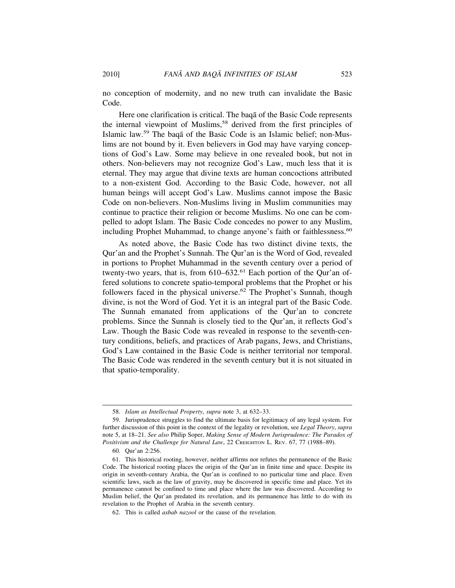no conception of modernity, and no new truth can invalidate the Basic Code.

Here one clarification is critical. The baqa of the Basic Code represents the internal viewpoint of Muslims,<sup>58</sup> derived from the first principles of Islamic law.<sup>59</sup> The baqa of the Basic Code is an Islamic belief; non-Muslims are not bound by it. Even believers in God may have varying conceptions of God's Law. Some may believe in one revealed book, but not in others. Non-believers may not recognize God's Law, much less that it is eternal. They may argue that divine texts are human concoctions attributed to a non-existent God. According to the Basic Code, however, not all human beings will accept God's Law. Muslims cannot impose the Basic Code on non-believers. Non-Muslims living in Muslim communities may continue to practice their religion or become Muslims. No one can be compelled to adopt Islam. The Basic Code concedes no power to any Muslim, including Prophet Muhammad, to change anyone's faith or faithlessness.<sup>60</sup>

As noted above, the Basic Code has two distinct divine texts, the Qur'an and the Prophet's Sunnah. The Qur'an is the Word of God, revealed in portions to Prophet Muhammad in the seventh century over a period of twenty-two years, that is, from  $610-632$ .<sup>61</sup> Each portion of the Qur'an offered solutions to concrete spatio-temporal problems that the Prophet or his followers faced in the physical universe.<sup>62</sup> The Prophet's Sunnah, though divine, is not the Word of God. Yet it is an integral part of the Basic Code. The Sunnah emanated from applications of the Qur'an to concrete problems. Since the Sunnah is closely tied to the Qur'an, it reflects God's Law. Though the Basic Code was revealed in response to the seventh-century conditions, beliefs, and practices of Arab pagans, Jews, and Christians, God's Law contained in the Basic Code is neither territorial nor temporal. The Basic Code was rendered in the seventh century but it is not situated in that spatio-temporality.

<sup>58.</sup> *Islam as Intellectual Property*, *supra* note 3, at 632–33.

<sup>59.</sup> Jurisprudence struggles to find the ultimate basis for legitimacy of any legal system. For further discussion of this point in the context of the legality or revolution, see *Legal Theory*, *supra* note 5, at 18–21. *See also* Philip Soper, *Making Sense of Modern Jurisprudence: The Paradox of Positivism and the Challenge for Natural Law*, 22 CREIGHTON L. REV. 67, 77 (1988–89).

<sup>60.</sup> Qur'an 2:256.

<sup>61.</sup> This historical rooting, however, neither affirms nor refutes the permanence of the Basic Code. The historical rooting places the origin of the Qur'an in finite time and space. Despite its origin in seventh-century Arabia, the Qur'an is confined to no particular time and place. Even scientific laws, such as the law of gravity, may be discovered in specific time and place. Yet its permanence cannot be confined to time and place where the law was discovered. According to Muslim belief, the Qur'an predated its revelation, and its permanence has little to do with its revelation to the Prophet of Arabia in the seventh century.

<sup>62.</sup> This is called *asbab nazool* or the cause of the revelation.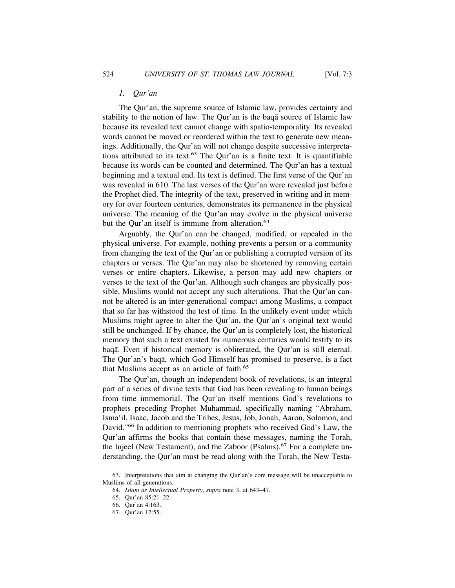The Qur'an, the supreme source of Islamic law, provides certainty and stability to the notion of law. The Qur'an is the baqa source of Islamic law because its revealed text cannot change with spatio-temporality. Its revealed words cannot be moved or reordered within the text to generate new meanings. Additionally, the Qur'an will not change despite successive interpretations attributed to its text.<sup>63</sup> The Our'an is a finite text. It is quantifiable because its words can be counted and determined. The Qur'an has a textual beginning and a textual end. Its text is defined. The first verse of the Qur'an was revealed in 610. The last verses of the Qur'an were revealed just before the Prophet died. The integrity of the text, preserved in writing and in memory for over fourteen centuries, demonstrates its permanence in the physical universe. The meaning of the Qur'an may evolve in the physical universe but the Qur'an itself is immune from alteration.<sup>64</sup>

Arguably, the Qur'an can be changed, modified, or repealed in the physical universe. For example, nothing prevents a person or a community from changing the text of the Qur'an or publishing a corrupted version of its chapters or verses. The Qur'an may also be shortened by removing certain verses or entire chapters. Likewise, a person may add new chapters or verses to the text of the Qur'an. Although such changes are physically possible, Muslims would not accept any such alterations. That the Qur'an cannot be altered is an inter-generational compact among Muslims, a compact that so far has withstood the test of time. In the unlikely event under which Muslims might agree to alter the Qur'an, the Qur'an's original text would still be unchanged. If by chance, the Qur'an is completely lost, the historical memory that such a text existed for numerous centuries would testify to its baqā. Even if historical memory is obliterated, the Qur'an is still eternal. The Qur'an's baqa, which God Himself has promised to preserve, is a fact that Muslims accept as an article of faith.<sup>65</sup>

The Qur'an, though an independent book of revelations, is an integral part of a series of divine texts that God has been revealing to human beings from time immemorial. The Qur'an itself mentions God's revelations to prophets preceding Prophet Muhammad, specifically naming "Abraham, Isma'il, Isaac, Jacob and the Tribes, Jesus, Job, Jonah, Aaron, Solomon, and David."66 In addition to mentioning prophets who received God's Law, the Qur'an affirms the books that contain these messages, naming the Torah, the Injeel (New Testament), and the Zaboor (Psalms).<sup>67</sup> For a complete understanding, the Qur'an must be read along with the Torah, the New Testa-

<sup>63.</sup> Interpretations that aim at changing the Qur'an's core message will be unacceptable to Muslims of all generations.

<sup>64.</sup> *Islam as Intellectual Property*, *supra* note 3, at 643–47.

<sup>65.</sup> Qur'an 85:21–22.

<sup>66.</sup> Qur'an 4:163.

<sup>67.</sup> Qur'an 17:55.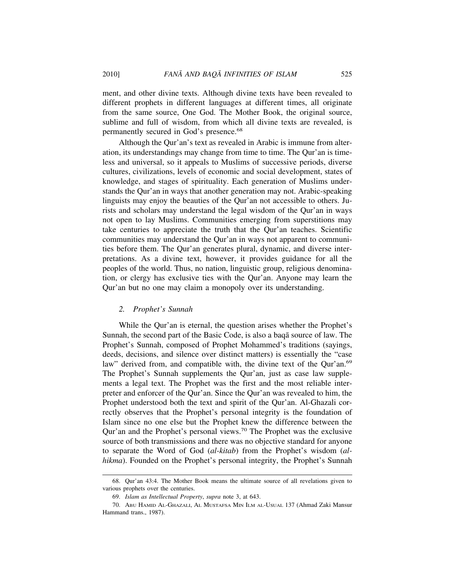ment, and other divine texts. Although divine texts have been revealed to different prophets in different languages at different times, all originate from the same source, One God. The Mother Book, the original source, sublime and full of wisdom, from which all divine texts are revealed, is permanently secured in God's presence.<sup>68</sup>

Although the Qur'an's text as revealed in Arabic is immune from alteration, its understandings may change from time to time. The Qur'an is timeless and universal, so it appeals to Muslims of successive periods, diverse cultures, civilizations, levels of economic and social development, states of knowledge, and stages of spirituality. Each generation of Muslims understands the Qur'an in ways that another generation may not. Arabic-speaking linguists may enjoy the beauties of the Qur'an not accessible to others. Jurists and scholars may understand the legal wisdom of the Qur'an in ways not open to lay Muslims. Communities emerging from superstitions may take centuries to appreciate the truth that the Qur'an teaches. Scientific communities may understand the Qur'an in ways not apparent to communities before them. The Qur'an generates plural, dynamic, and diverse interpretations. As a divine text, however, it provides guidance for all the peoples of the world. Thus, no nation, linguistic group, religious denomination, or clergy has exclusive ties with the Qur'an. Anyone may learn the Qur'an but no one may claim a monopoly over its understanding.

#### *2. Prophet's Sunnah*

While the Qur'an is eternal, the question arises whether the Prophet's Sunnah, the second part of the Basic Code, is also a baqa source of law. The Prophet's Sunnah, composed of Prophet Mohammed's traditions (sayings, deeds, decisions, and silence over distinct matters) is essentially the "case law" derived from, and compatible with, the divine text of the Qur'an.<sup>69</sup> The Prophet's Sunnah supplements the Qur'an, just as case law supplements a legal text. The Prophet was the first and the most reliable interpreter and enforcer of the Qur'an. Since the Qur'an was revealed to him, the Prophet understood both the text and spirit of the Qur'an. Al-Ghazali correctly observes that the Prophet's personal integrity is the foundation of Islam since no one else but the Prophet knew the difference between the Qur'an and the Prophet's personal views.70 The Prophet was the exclusive source of both transmissions and there was no objective standard for anyone to separate the Word of God (*al-kitab*) from the Prophet's wisdom (*alhikma*). Founded on the Prophet's personal integrity, the Prophet's Sunnah

<sup>68.</sup> Qur'an 43:4. The Mother Book means the ultimate source of all revelations given to various prophets over the centuries.

<sup>69.</sup> *Islam as Intellectual Property*, *supra* note 3, at 643.

<sup>70.</sup> ABU HAMID AL-GHAZALI, AL MUSTAFSA MIN ILM AL-USUAL 137 (Ahmad Zaki Mansur Hammand trans., 1987).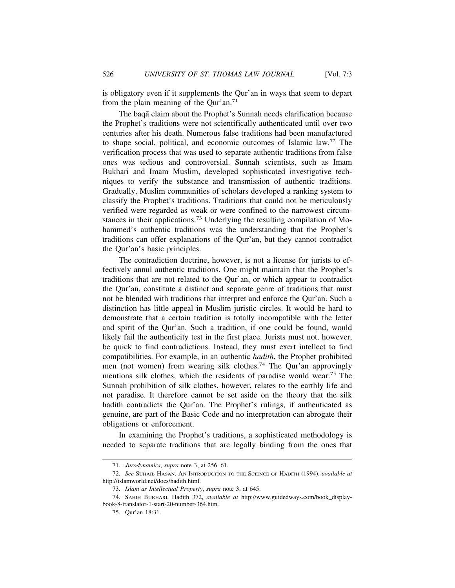is obligatory even if it supplements the Qur'an in ways that seem to depart from the plain meaning of the Our'an.<sup>71</sup>

The baqā claim about the Prophet's Sunnah needs clarification because the Prophet's traditions were not scientifically authenticated until over two centuries after his death. Numerous false traditions had been manufactured to shape social, political, and economic outcomes of Islamic law.72 The verification process that was used to separate authentic traditions from false ones was tedious and controversial. Sunnah scientists, such as Imam Bukhari and Imam Muslim, developed sophisticated investigative techniques to verify the substance and transmission of authentic traditions. Gradually, Muslim communities of scholars developed a ranking system to classify the Prophet's traditions. Traditions that could not be meticulously verified were regarded as weak or were confined to the narrowest circumstances in their applications.73 Underlying the resulting compilation of Mohammed's authentic traditions was the understanding that the Prophet's traditions can offer explanations of the Qur'an, but they cannot contradict the Qur'an's basic principles.

The contradiction doctrine, however, is not a license for jurists to effectively annul authentic traditions. One might maintain that the Prophet's traditions that are not related to the Qur'an, or which appear to contradict the Qur'an, constitute a distinct and separate genre of traditions that must not be blended with traditions that interpret and enforce the Qur'an. Such a distinction has little appeal in Muslim juristic circles. It would be hard to demonstrate that a certain tradition is totally incompatible with the letter and spirit of the Qur'an. Such a tradition, if one could be found, would likely fail the authenticity test in the first place. Jurists must not, however, be quick to find contradictions. Instead, they must exert intellect to find compatibilities. For example, in an authentic *hadith*, the Prophet prohibited men (not women) from wearing silk clothes.<sup>74</sup> The Our'an approvingly mentions silk clothes, which the residents of paradise would wear.75 The Sunnah prohibition of silk clothes, however, relates to the earthly life and not paradise. It therefore cannot be set aside on the theory that the silk hadith contradicts the Qur'an. The Prophet's rulings, if authenticated as genuine, are part of the Basic Code and no interpretation can abrogate their obligations or enforcement.

In examining the Prophet's traditions, a sophisticated methodology is needed to separate traditions that are legally binding from the ones that

<sup>71.</sup> *Jurodynamics*, *supra* note 3, at 256–61.

<sup>72.</sup> *See* SUHAIB HASAN, AN INTRODUCTION TO THE SCIENCE OF HADITH (1994), *available at* http://islamworld.net/docs/hadith.html.

<sup>73.</sup> *Islam as Intellectual Property*, *supra* note 3, at 645.

<sup>74.</sup> SAHIH BUKHARI, Hadith 372, *available at* http://www.guidedways.com/book\_displaybook-8-translator-1-start-20-number-364.htm.

<sup>75.</sup> Qur'an 18:31.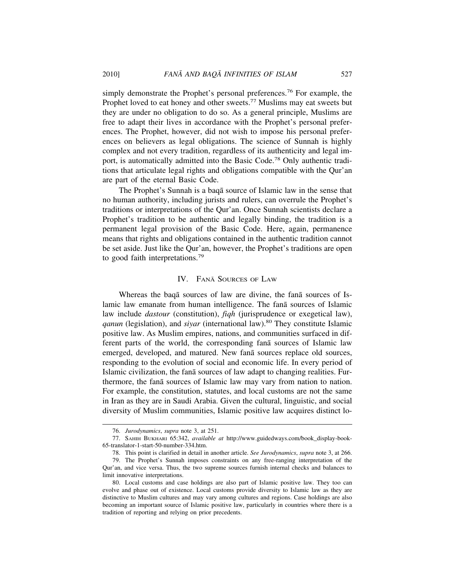simply demonstrate the Prophet's personal preferences.<sup>76</sup> For example, the Prophet loved to eat honey and other sweets.<sup>77</sup> Muslims may eat sweets but they are under no obligation to do so. As a general principle, Muslims are free to adapt their lives in accordance with the Prophet's personal preferences. The Prophet, however, did not wish to impose his personal preferences on believers as legal obligations. The science of Sunnah is highly complex and not every tradition, regardless of its authenticity and legal import, is automatically admitted into the Basic Code.78 Only authentic traditions that articulate legal rights and obligations compatible with the Qur'an are part of the eternal Basic Code.

The Prophet's Sunnah is a baqa source of Islamic law in the sense that no human authority, including jurists and rulers, can overrule the Prophet's traditions or interpretations of the Qur'an. Once Sunnah scientists declare a Prophet's tradition to be authentic and legally binding, the tradition is a permanent legal provision of the Basic Code. Here, again, permanence means that rights and obligations contained in the authentic tradition cannot be set aside. Just like the Qur'an, however, the Prophet's traditions are open to good faith interpretations.<sup>79</sup>

#### IV. FANĀ SOURCES OF LAW

Whereas the baqa sources of law are divine, the fana sources of Islamic law emanate from human intelligence. The fana sources of Islamic law include *dastour* (constitution), *fiqh* (jurisprudence or exegetical law), *ganun* (legislation), and *siyar* (international law).<sup>80</sup> They constitute Islamic positive law. As Muslim empires, nations, and communities surfaced in different parts of the world, the corresponding fana sources of Islamic law emerged, developed, and matured. New fana sources replace old sources, responding to the evolution of social and economic life. In every period of Islamic civilization, the fana sources of law adapt to changing realities. Furthermore, the fana sources of Islamic law may vary from nation to nation. For example, the constitution, statutes, and local customs are not the same in Iran as they are in Saudi Arabia. Given the cultural, linguistic, and social diversity of Muslim communities, Islamic positive law acquires distinct lo-

<sup>76.</sup> *Jurodynamics*, *supra* note 3, at 251.

<sup>77.</sup> SAHIH BUKHARI 65:342, *available at* http://www.guidedways.com/book\_display-book-65-translator-1-start-50-number-334.htm.

<sup>78.</sup> This point is clarified in detail in another article. *See Jurodynamics*, *supra* note 3, at 266.

<sup>79.</sup> The Prophet's Sunnah imposes constraints on any free-ranging interpretation of the Qur'an, and vice versa. Thus, the two supreme sources furnish internal checks and balances to limit innovative interpretations.

<sup>80.</sup> Local customs and case holdings are also part of Islamic positive law. They too can evolve and phase out of existence. Local customs provide diversity to Islamic law as they are distinctive to Muslim cultures and may vary among cultures and regions. Case holdings are also becoming an important source of Islamic positive law, particularly in countries where there is a tradition of reporting and relying on prior precedents.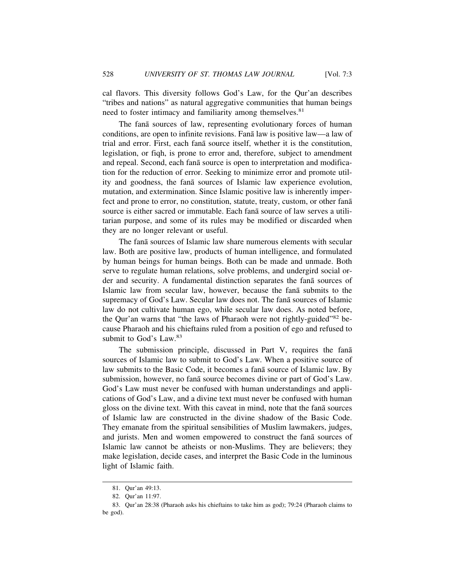cal flavors. This diversity follows God's Law, for the Qur'an describes "tribes and nations" as natural aggregative communities that human beings need to foster intimacy and familiarity among themselves.<sup>81</sup>

The fana sources of law, representing evolutionary forces of human conditions, are open to infinite revisions. Fana law is positive law—a law of trial and error. First, each fanā source itself, whether it is the constitution, legislation, or fiqh, is prone to error and, therefore, subject to amendment and repeal. Second, each fanā source is open to interpretation and modification for the reduction of error. Seeking to minimize error and promote utility and goodness, the fana sources of Islamic law experience evolution, mutation, and extermination. Since Islamic positive law is inherently imperfect and prone to error, no constitution, statute, treaty, custom, or other fana source is either sacred or immutable. Each fana source of law serves a utilitarian purpose, and some of its rules may be modified or discarded when they are no longer relevant or useful.

The fana sources of Islamic law share numerous elements with secular law. Both are positive law, products of human intelligence, and formulated by human beings for human beings. Both can be made and unmade. Both serve to regulate human relations, solve problems, and undergird social order and security. A fundamental distinction separates the fana sources of Islamic law from secular law, however, because the fana submits to the supremacy of God's Law. Secular law does not. The fana sources of Islamic law do not cultivate human ego, while secular law does. As noted before, the Qur'an warns that "the laws of Pharaoh were not rightly-guided"<sup>82</sup> because Pharaoh and his chieftains ruled from a position of ego and refused to submit to God's Law.<sup>83</sup>

The submission principle, discussed in Part V, requires the fana sources of Islamic law to submit to God's Law. When a positive source of law submits to the Basic Code, it becomes a fana source of Islamic law. By submission, however, no fanā source becomes divine or part of God's Law. God's Law must never be confused with human understandings and applications of God's Law, and a divine text must never be confused with human gloss on the divine text. With this caveat in mind, note that the fana sources of Islamic law are constructed in the divine shadow of the Basic Code. They emanate from the spiritual sensibilities of Muslim lawmakers, judges, and jurists. Men and women empowered to construct the fana sources of Islamic law cannot be atheists or non-Muslims. They are believers; they make legislation, decide cases, and interpret the Basic Code in the luminous light of Islamic faith.

<sup>81.</sup> Qur'an 49:13.

<sup>82.</sup> Qur'an 11:97.

<sup>83.</sup> Qur'an 28:38 (Pharaoh asks his chieftains to take him as god); 79:24 (Pharaoh claims to be god).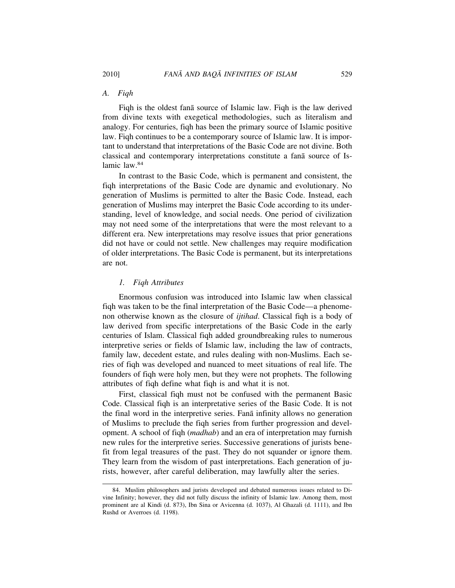#### *A. Fiqh*

Figh is the oldest fana source of Islamic law. Figh is the law derived from divine texts with exegetical methodologies, such as literalism and analogy. For centuries, fiqh has been the primary source of Islamic positive law. Fiqh continues to be a contemporary source of Islamic law. It is important to understand that interpretations of the Basic Code are not divine. Both classical and contemporary interpretations constitute a fana source of Islamic law.<sup>84</sup>

In contrast to the Basic Code, which is permanent and consistent, the fiqh interpretations of the Basic Code are dynamic and evolutionary. No generation of Muslims is permitted to alter the Basic Code. Instead, each generation of Muslims may interpret the Basic Code according to its understanding, level of knowledge, and social needs. One period of civilization may not need some of the interpretations that were the most relevant to a different era. New interpretations may resolve issues that prior generations did not have or could not settle. New challenges may require modification of older interpretations. The Basic Code is permanent, but its interpretations are not.

#### *1. Fiqh Attributes*

Enormous confusion was introduced into Islamic law when classical fiqh was taken to be the final interpretation of the Basic Code—a phenomenon otherwise known as the closure of *ijtihad*. Classical fiqh is a body of law derived from specific interpretations of the Basic Code in the early centuries of Islam. Classical fiqh added groundbreaking rules to numerous interpretive series or fields of Islamic law, including the law of contracts, family law, decedent estate, and rules dealing with non-Muslims. Each series of fiqh was developed and nuanced to meet situations of real life. The founders of fiqh were holy men, but they were not prophets. The following attributes of fiqh define what fiqh is and what it is not.

First, classical fiqh must not be confused with the permanent Basic Code. Classical fiqh is an interpretative series of the Basic Code. It is not the final word in the interpretive series. Fana infinity allows no generation of Muslims to preclude the fiqh series from further progression and development. A school of fiqh (*madhab*) and an era of interpretation may furnish new rules for the interpretive series. Successive generations of jurists benefit from legal treasures of the past. They do not squander or ignore them. They learn from the wisdom of past interpretations. Each generation of jurists, however, after careful deliberation, may lawfully alter the series.

<sup>84.</sup> Muslim philosophers and jurists developed and debated numerous issues related to Divine Infinity; however, they did not fully discuss the infinity of Islamic law. Among them, most prominent are al Kindi (d. 873), Ibn Sina or Avicenna (d. 1037), Al Ghazali (d. 1111), and Ibn Rushd or Averroes (d. 1198).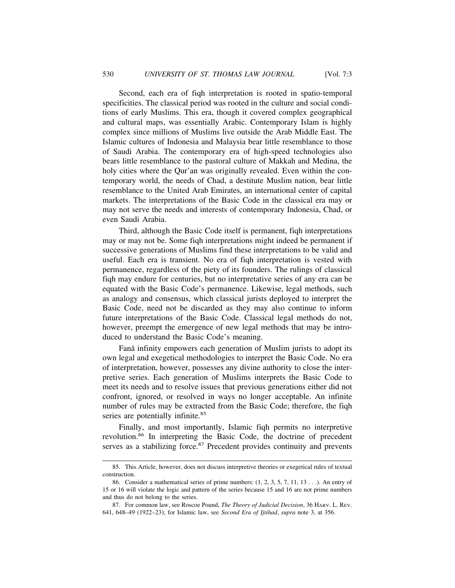Second, each era of fiqh interpretation is rooted in spatio-temporal specificities. The classical period was rooted in the culture and social conditions of early Muslims. This era, though it covered complex geographical and cultural maps, was essentially Arabic. Contemporary Islam is highly complex since millions of Muslims live outside the Arab Middle East. The Islamic cultures of Indonesia and Malaysia bear little resemblance to those of Saudi Arabia. The contemporary era of high-speed technologies also bears little resemblance to the pastoral culture of Makkah and Medina, the holy cities where the Qur'an was originally revealed. Even within the contemporary world, the needs of Chad, a destitute Muslim nation, bear little resemblance to the United Arab Emirates, an international center of capital markets. The interpretations of the Basic Code in the classical era may or may not serve the needs and interests of contemporary Indonesia, Chad, or even Saudi Arabia.

Third, although the Basic Code itself is permanent, fiqh interpretations may or may not be. Some fiqh interpretations might indeed be permanent if successive generations of Muslims find these interpretations to be valid and useful. Each era is transient. No era of fiqh interpretation is vested with permanence, regardless of the piety of its founders. The rulings of classical fiqh may endure for centuries, but no interpretative series of any era can be equated with the Basic Code's permanence. Likewise, legal methods, such as analogy and consensus, which classical jurists deployed to interpret the Basic Code, need not be discarded as they may also continue to inform future interpretations of the Basic Code. Classical legal methods do not, however, preempt the emergence of new legal methods that may be introduced to understand the Basic Code's meaning.

Fanā infinity empowers each generation of Muslim jurists to adopt its own legal and exegetical methodologies to interpret the Basic Code. No era of interpretation, however, possesses any divine authority to close the interpretive series. Each generation of Muslims interprets the Basic Code to meet its needs and to resolve issues that previous generations either did not confront, ignored, or resolved in ways no longer acceptable. An infinite number of rules may be extracted from the Basic Code; therefore, the fiqh series are potentially infinite.<sup>85</sup>

Finally, and most importantly, Islamic fiqh permits no interpretive revolution.86 In interpreting the Basic Code, the doctrine of precedent serves as a stabilizing force.<sup>87</sup> Precedent provides continuity and prevents

<sup>85.</sup> This Article, however, does not discuss interpretive theories or exegetical rules of textual construction.

<sup>86.</sup> Consider a mathematical series of prime numbers: (1, 2, 3, 5, 7, 11, 13 . . .). An entry of 15 or 16 will violate the logic and pattern of the series because 15 and 16 are not prime numbers and thus do not belong to the series.

<sup>87.</sup> For common law, see Roscoe Pound, *The Theory of Judicial Decision*, 36 HARV. L. REV. 641, 648–49 (1922–23); for Islamic law, see *Second Era of Ijtihad*, *supra* note 3, at 356.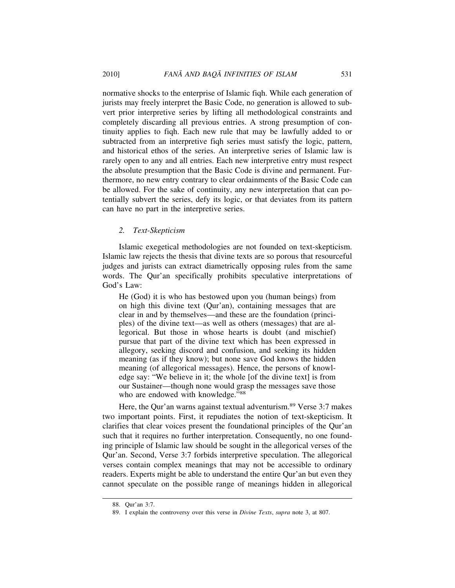normative shocks to the enterprise of Islamic fiqh. While each generation of jurists may freely interpret the Basic Code, no generation is allowed to subvert prior interpretive series by lifting all methodological constraints and completely discarding all previous entries. A strong presumption of continuity applies to fiqh. Each new rule that may be lawfully added to or subtracted from an interpretive fiqh series must satisfy the logic, pattern, and historical ethos of the series. An interpretive series of Islamic law is rarely open to any and all entries. Each new interpretive entry must respect the absolute presumption that the Basic Code is divine and permanent. Furthermore, no new entry contrary to clear ordainments of the Basic Code can be allowed. For the sake of continuity, any new interpretation that can potentially subvert the series, defy its logic, or that deviates from its pattern can have no part in the interpretive series.

#### *2. Text-Skepticism*

Islamic exegetical methodologies are not founded on text-skepticism. Islamic law rejects the thesis that divine texts are so porous that resourceful judges and jurists can extract diametrically opposing rules from the same words. The Qur'an specifically prohibits speculative interpretations of God's Law:

He (God) it is who has bestowed upon you (human beings) from on high this divine text (Qur'an), containing messages that are clear in and by themselves—and these are the foundation (principles) of the divine text—as well as others (messages) that are allegorical. But those in whose hearts is doubt (and mischief) pursue that part of the divine text which has been expressed in allegory, seeking discord and confusion, and seeking its hidden meaning (as if they know); but none save God knows the hidden meaning (of allegorical messages). Hence, the persons of knowledge say: "We believe in it; the whole [of the divine text] is from our Sustainer—though none would grasp the messages save those who are endowed with knowledge."88

Here, the Qur'an warns against textual adventurism.<sup>89</sup> Verse 3:7 makes two important points. First, it repudiates the notion of text-skepticism. It clarifies that clear voices present the foundational principles of the Qur'an such that it requires no further interpretation. Consequently, no one founding principle of Islamic law should be sought in the allegorical verses of the Qur'an. Second, Verse 3:7 forbids interpretive speculation. The allegorical verses contain complex meanings that may not be accessible to ordinary readers. Experts might be able to understand the entire Qur'an but even they cannot speculate on the possible range of meanings hidden in allegorical

<sup>88.</sup> Qur'an 3:7.

<sup>89.</sup> I explain the controversy over this verse in *Divine Texts*, *supra* note 3, at 807.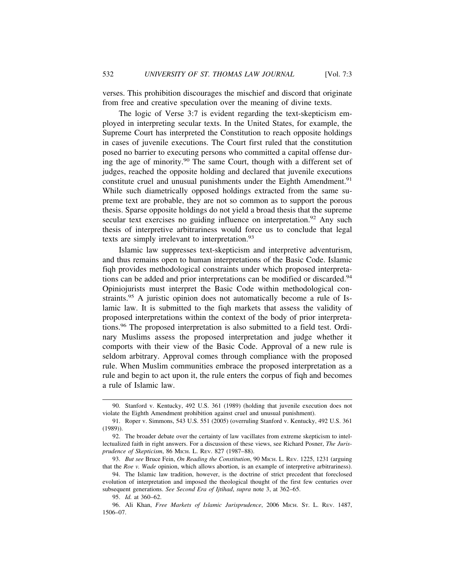verses. This prohibition discourages the mischief and discord that originate from free and creative speculation over the meaning of divine texts.

The logic of Verse 3:7 is evident regarding the text-skepticism employed in interpreting secular texts. In the United States, for example, the Supreme Court has interpreted the Constitution to reach opposite holdings in cases of juvenile executions. The Court first ruled that the constitution posed no barrier to executing persons who committed a capital offense during the age of minority.90 The same Court, though with a different set of judges, reached the opposite holding and declared that juvenile executions constitute cruel and unusual punishments under the Eighth Amendment.<sup>91</sup> While such diametrically opposed holdings extracted from the same supreme text are probable, they are not so common as to support the porous thesis. Sparse opposite holdings do not yield a broad thesis that the supreme secular text exercises no guiding influence on interpretation.<sup>92</sup> Any such thesis of interpretive arbitrariness would force us to conclude that legal texts are simply irrelevant to interpretation.<sup>93</sup>

Islamic law suppresses text-skepticism and interpretive adventurism, and thus remains open to human interpretations of the Basic Code. Islamic fiqh provides methodological constraints under which proposed interpretations can be added and prior interpretations can be modified or discarded.<sup>94</sup> Opiniojurists must interpret the Basic Code within methodological constraints.<sup>95</sup> A juristic opinion does not automatically become a rule of Islamic law. It is submitted to the fiqh markets that assess the validity of proposed interpretations within the context of the body of prior interpretations.96 The proposed interpretation is also submitted to a field test. Ordinary Muslims assess the proposed interpretation and judge whether it comports with their view of the Basic Code. Approval of a new rule is seldom arbitrary. Approval comes through compliance with the proposed rule. When Muslim communities embrace the proposed interpretation as a rule and begin to act upon it, the rule enters the corpus of fiqh and becomes a rule of Islamic law.

<sup>90.</sup> Stanford v. Kentucky, 492 U.S. 361 (1989) (holding that juvenile execution does not violate the Eighth Amendment prohibition against cruel and unusual punishment).

<sup>91.</sup> Roper v. Simmons, 543 U.S. 551 (2005) (overruling Stanford v. Kentucky, 492 U.S. 361 (1989)).

<sup>92.</sup> The broader debate over the certainty of law vacillates from extreme skepticism to intellectualized faith in right answers. For a discussion of these views, see Richard Posner, *The Jurisprudence of Skepticism*, 86 MICH. L. REV. 827 (1987–88).

<sup>93.</sup> *But see* Bruce Fein, *On Reading the Constitution*, 90 MICH. L. REV. 1225, 1231 (arguing that the *Roe v. Wade* opinion, which allows abortion, is an example of interpretive arbitrariness).

<sup>94.</sup> The Islamic law tradition, however, is the doctrine of strict precedent that foreclosed evolution of interpretation and imposed the theological thought of the first few centuries over subsequent generations. *See Second Era of Ijtihad*, *supra* note 3, at 362–65.

<sup>95.</sup> *Id.* at 360–62.

<sup>96.</sup> Ali Khan, *Free Markets of Islamic Jurisprudence*, 2006 MICH. ST. L. REV. 1487, 1506–07.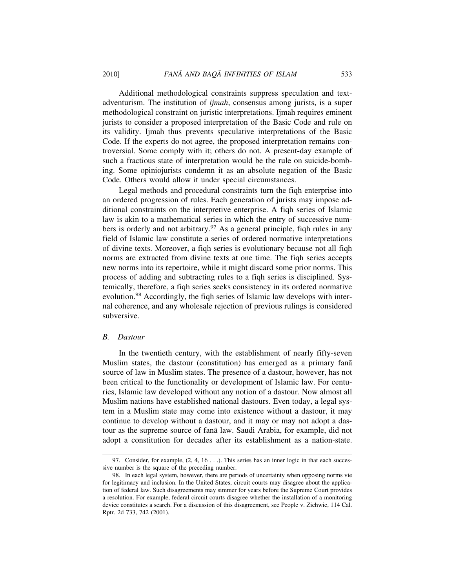Additional methodological constraints suppress speculation and textadventurism. The institution of *ijmah*, consensus among jurists, is a super methodological constraint on juristic interpretations. Ijmah requires eminent jurists to consider a proposed interpretation of the Basic Code and rule on its validity. Ijmah thus prevents speculative interpretations of the Basic Code. If the experts do not agree, the proposed interpretation remains controversial. Some comply with it; others do not. A present-day example of such a fractious state of interpretation would be the rule on suicide-bombing. Some opiniojurists condemn it as an absolute negation of the Basic Code. Others would allow it under special circumstances.

Legal methods and procedural constraints turn the fiqh enterprise into an ordered progression of rules. Each generation of jurists may impose additional constraints on the interpretive enterprise. A fiqh series of Islamic law is akin to a mathematical series in which the entry of successive numbers is orderly and not arbitrary.<sup>97</sup> As a general principle, figh rules in any field of Islamic law constitute a series of ordered normative interpretations of divine texts. Moreover, a fiqh series is evolutionary because not all fiqh norms are extracted from divine texts at one time. The fiqh series accepts new norms into its repertoire, while it might discard some prior norms. This process of adding and subtracting rules to a fiqh series is disciplined. Systemically, therefore, a fiqh series seeks consistency in its ordered normative evolution.<sup>98</sup> Accordingly, the fiqh series of Islamic law develops with internal coherence, and any wholesale rejection of previous rulings is considered subversive.

#### *B. Dastour*

In the twentieth century, with the establishment of nearly fifty-seven Muslim states, the dastour (constitution) has emerged as a primary fana source of law in Muslim states. The presence of a dastour, however, has not been critical to the functionality or development of Islamic law. For centuries, Islamic law developed without any notion of a dastour. Now almost all Muslim nations have established national dastours. Even today, a legal system in a Muslim state may come into existence without a dastour, it may continue to develop without a dastour, and it may or may not adopt a dastour as the supreme source of fana law. Saudi Arabia, for example, did not adopt a constitution for decades after its establishment as a nation-state.

<sup>97.</sup> Consider, for example,  $(2, 4, 16 \ldots)$ . This series has an inner logic in that each successive number is the square of the preceding number.

<sup>98.</sup> In each legal system, however, there are periods of uncertainty when opposing norms vie for legitimacy and inclusion. In the United States, circuit courts may disagree about the application of federal law. Such disagreements may simmer for years before the Supreme Court provides a resolution. For example, federal circuit courts disagree whether the installation of a monitoring device constitutes a search. For a discussion of this disagreement, see People v. Zichwic, 114 Cal. Rptr. 2d 733, 742 (2001).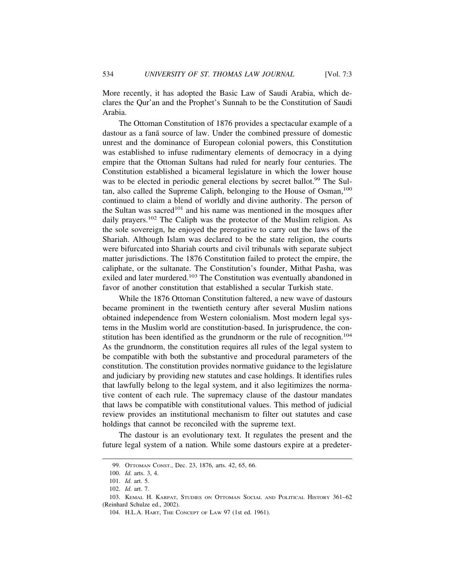More recently, it has adopted the Basic Law of Saudi Arabia, which declares the Qur'an and the Prophet's Sunnah to be the Constitution of Saudi Arabia.

The Ottoman Constitution of 1876 provides a spectacular example of a dastour as a fana source of law. Under the combined pressure of domestic unrest and the dominance of European colonial powers, this Constitution was established to infuse rudimentary elements of democracy in a dying empire that the Ottoman Sultans had ruled for nearly four centuries. The Constitution established a bicameral legislature in which the lower house was to be elected in periodic general elections by secret ballot.<sup>99</sup> The Sultan, also called the Supreme Caliph, belonging to the House of Osman,<sup>100</sup> continued to claim a blend of worldly and divine authority. The person of the Sultan was sacred<sup>101</sup> and his name was mentioned in the mosques after daily prayers.<sup>102</sup> The Caliph was the protector of the Muslim religion. As the sole sovereign, he enjoyed the prerogative to carry out the laws of the Shariah. Although Islam was declared to be the state religion, the courts were bifurcated into Shariah courts and civil tribunals with separate subject matter jurisdictions. The 1876 Constitution failed to protect the empire, the caliphate, or the sultanate. The Constitution's founder, Mithat Pasha, was exiled and later murdered.<sup>103</sup> The Constitution was eventually abandoned in favor of another constitution that established a secular Turkish state.

While the 1876 Ottoman Constitution faltered, a new wave of dastours became prominent in the twentieth century after several Muslim nations obtained independence from Western colonialism. Most modern legal systems in the Muslim world are constitution-based. In jurisprudence, the constitution has been identified as the grundnorm or the rule of recognition.<sup>104</sup> As the grundnorm, the constitution requires all rules of the legal system to be compatible with both the substantive and procedural parameters of the constitution. The constitution provides normative guidance to the legislature and judiciary by providing new statutes and case holdings. It identifies rules that lawfully belong to the legal system, and it also legitimizes the normative content of each rule. The supremacy clause of the dastour mandates that laws be compatible with constitutional values. This method of judicial review provides an institutional mechanism to filter out statutes and case holdings that cannot be reconciled with the supreme text.

The dastour is an evolutionary text. It regulates the present and the future legal system of a nation. While some dastours expire at a predeter-

<sup>99.</sup> OTTOMAN CONST., Dec. 23, 1876, arts. 42, 65, 66.

<sup>100.</sup> *Id.* arts. 3, 4.

<sup>101.</sup> *Id.* art. 5.

<sup>102.</sup> *Id.* art. 7.

<sup>103.</sup> KEMAL H. KARPAT, STUDIES ON OTTOMAN SOCIAL AND POLITICAL HISTORY 361–62 (Reinhard Schulze ed., 2002).

<sup>104.</sup> H.L.A. HART, THE CONCEPT OF LAW 97 (1st ed. 1961).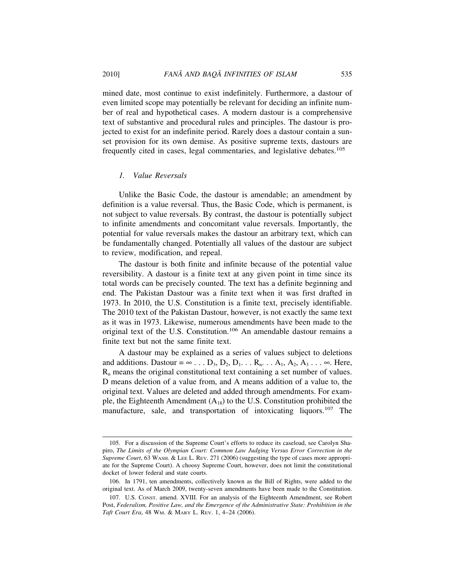mined date, most continue to exist indefinitely. Furthermore, a dastour of even limited scope may potentially be relevant for deciding an infinite number of real and hypothetical cases. A modern dastour is a comprehensive text of substantive and procedural rules and principles. The dastour is projected to exist for an indefinite period. Rarely does a dastour contain a sunset provision for its own demise. As positive supreme texts, dastours are frequently cited in cases, legal commentaries, and legislative debates.<sup>105</sup>

#### *1. Value Reversals*

Unlike the Basic Code, the dastour is amendable; an amendment by definition is a value reversal. Thus, the Basic Code, which is permanent, is not subject to value reversals. By contrast, the dastour is potentially subject to infinite amendments and concomitant value reversals. Importantly, the potential for value reversals makes the dastour an arbitrary text, which can be fundamentally changed. Potentially all values of the dastour are subject to review, modification, and repeal.

The dastour is both finite and infinite because of the potential value reversibility. A dastour is a finite text at any given point in time since its total words can be precisely counted. The text has a definite beginning and end. The Pakistan Dastour was a finite text when it was first drafted in 1973. In 2010, the U.S. Constitution is a finite text, precisely identifiable. The 2010 text of the Pakistan Dastour, however, is not exactly the same text as it was in 1973. Likewise, numerous amendments have been made to the original text of the U.S. Constitution.106 An amendable dastour remains a finite text but not the same finite text.

A dastour may be explained as a series of values subject to deletions and additions. Dastour =  $\infty$ ... D<sub>3</sub>, D<sub>2</sub>, D<sub>1</sub>... R<sub>n</sub>... A<sub>1</sub>, A<sub>2</sub>, A<sub>3</sub>...  $\infty$ . Here,  $R_n$  means the original constitutional text containing a set number of values. D means deletion of a value from, and A means addition of a value to, the original text. Values are deleted and added through amendments. For example, the Eighteenth Amendment  $(A_{18})$  to the U.S. Constitution prohibited the manufacture, sale, and transportation of intoxicating liquors.<sup>107</sup> The

<sup>105.</sup> For a discussion of the Supreme Court's efforts to reduce its caseload, see Carolyn Shapiro, *The Limits of the Olympian Court: Common Law Judging Versus Error Correction in the Supreme Court*, 63 WASH. & LEE L. REV. 271 (2006) (suggesting the type of cases more appropriate for the Supreme Court). A choosy Supreme Court, however, does not limit the constitutional docket of lower federal and state courts.

<sup>106.</sup> In 1791, ten amendments, collectively known as the Bill of Rights, were added to the original text. As of March 2009, twenty-seven amendments have been made to the Constitution.

<sup>107.</sup> U.S. CONST. amend. XVIII. For an analysis of the Eighteenth Amendment, see Robert Post, *Federalism, Positive Law, and the Emergence of the Administrative State: Prohibition in the Taft Court Era*, 48 WM. & MARY L. REV. 1, 4–24 (2006).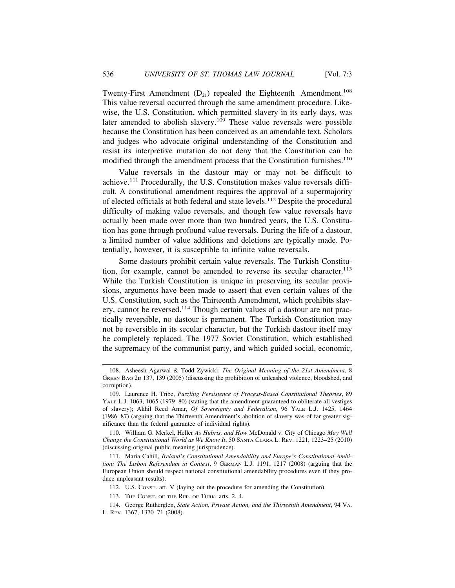Twenty-First Amendment  $(D_{21})$  repealed the Eighteenth Amendment.<sup>108</sup> This value reversal occurred through the same amendment procedure. Likewise, the U.S. Constitution, which permitted slavery in its early days, was later amended to abolish slavery.109 These value reversals were possible because the Constitution has been conceived as an amendable text. Scholars and judges who advocate original understanding of the Constitution and resist its interpretive mutation do not deny that the Constitution can be modified through the amendment process that the Constitution furnishes.<sup>110</sup>

Value reversals in the dastour may or may not be difficult to achieve.111 Procedurally, the U.S. Constitution makes value reversals difficult. A constitutional amendment requires the approval of a supermajority of elected officials at both federal and state levels.112 Despite the procedural difficulty of making value reversals, and though few value reversals have actually been made over more than two hundred years, the U.S. Constitution has gone through profound value reversals. During the life of a dastour, a limited number of value additions and deletions are typically made. Potentially, however, it is susceptible to infinite value reversals.

Some dastours prohibit certain value reversals. The Turkish Constitution, for example, cannot be amended to reverse its secular character.<sup>113</sup> While the Turkish Constitution is unique in preserving its secular provisions, arguments have been made to assert that even certain values of the U.S. Constitution, such as the Thirteenth Amendment, which prohibits slavery, cannot be reversed.<sup>114</sup> Though certain values of a dastour are not practically reversible, no dastour is permanent. The Turkish Constitution may not be reversible in its secular character, but the Turkish dastour itself may be completely replaced. The 1977 Soviet Constitution, which established the supremacy of the communist party, and which guided social, economic,

110. William G. Merkel, Heller *As Hubris, and How* McDonald v. City of Chicago *May Well Change the Constitutional World as We Know It*, 50 SANTA CLARA L. REV. 1221, 1223–25 (2010) (discussing original public meaning jurisprudence).

111. Maria Cahill, *Ireland's Constitutional Amendability and Europe's Constitutional Ambition: The Lisbon Referendum in Context*, 9 GERMAN L.J. 1191, 1217 (2008) (arguing that the European Union should respect national constitutional amendability procedures even if they produce unpleasant results).

112. U.S. CONST. art. V (laying out the procedure for amending the Constitution).

<sup>108.</sup> Asheesh Agarwal & Todd Zywicki, *The Original Meaning of the 21st Amendment*, 8 GREEN BAG 2D 137, 139 (2005) (discussing the prohibition of unleashed violence, bloodshed, and corruption).

<sup>109.</sup> Laurence H. Tribe, *Puzzling Persistence of Process-Based Constitutional Theories*, 89 YALE L.J. 1063, 1065 (1979–80) (stating that the amendment guaranteed to obliterate all vestiges of slavery); Akhil Reed Amar, *Of Sovereignty and Federalism*, 96 YALE L.J. 1425, 1464 (1986–87) (arguing that the Thirteenth Amendment's abolition of slavery was of far greater significance than the federal guarantee of individual rights).

<sup>113.</sup> THE CONST. OF THE REP. OF TURK. arts. 2, 4.

<sup>114.</sup> George Rutherglen, *State Action, Private Action, and the Thirteenth Amendment*, 94 VA. L. REV. 1367, 1370–71 (2008).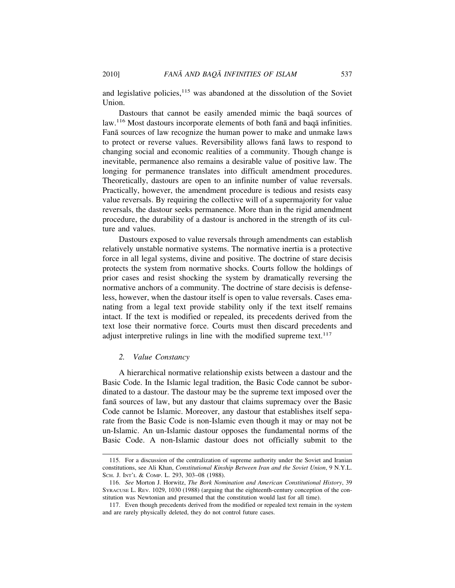and legislative policies, $115$  was abandoned at the dissolution of the Soviet Union.

Dastours that cannot be easily amended mimic the baqa sources of law.<sup>116</sup> Most dastours incorporate elements of both fana and baqa infinities. Fana sources of law recognize the human power to make and unmake laws to protect or reverse values. Reversibility allows fana laws to respond to changing social and economic realities of a community. Though change is inevitable, permanence also remains a desirable value of positive law. The longing for permanence translates into difficult amendment procedures. Theoretically, dastours are open to an infinite number of value reversals. Practically, however, the amendment procedure is tedious and resists easy value reversals. By requiring the collective will of a supermajority for value reversals, the dastour seeks permanence. More than in the rigid amendment procedure, the durability of a dastour is anchored in the strength of its culture and values.

Dastours exposed to value reversals through amendments can establish relatively unstable normative systems. The normative inertia is a protective force in all legal systems, divine and positive. The doctrine of stare decisis protects the system from normative shocks. Courts follow the holdings of prior cases and resist shocking the system by dramatically reversing the normative anchors of a community. The doctrine of stare decisis is defenseless, however, when the dastour itself is open to value reversals. Cases emanating from a legal text provide stability only if the text itself remains intact. If the text is modified or repealed, its precedents derived from the text lose their normative force. Courts must then discard precedents and adjust interpretive rulings in line with the modified supreme text. $117$ 

#### *2. Value Constancy*

A hierarchical normative relationship exists between a dastour and the Basic Code. In the Islamic legal tradition, the Basic Code cannot be subordinated to a dastour. The dastour may be the supreme text imposed over the fana sources of law, but any dastour that claims supremacy over the Basic Code cannot be Islamic. Moreover, any dastour that establishes itself separate from the Basic Code is non-Islamic even though it may or may not be un-Islamic. An un-Islamic dastour opposes the fundamental norms of the Basic Code. A non-Islamic dastour does not officially submit to the

<sup>115.</sup> For a discussion of the centralization of supreme authority under the Soviet and Iranian constitutions, see Ali Khan, *Constitutional Kinship Between Iran and the Soviet Union*, 9 N.Y.L. SCH. J. INT'L & COMP. L. 293, 303–08 (1988).

<sup>116.</sup> *See* Morton J. Horwitz, *The Bork Nomination and American Constitutional History*, 39 SYRACUSE L. REV. 1029, 1030 (1988) (arguing that the eighteenth-century conception of the constitution was Newtonian and presumed that the constitution would last for all time).

<sup>117.</sup> Even though precedents derived from the modified or repealed text remain in the system and are rarely physically deleted, they do not control future cases.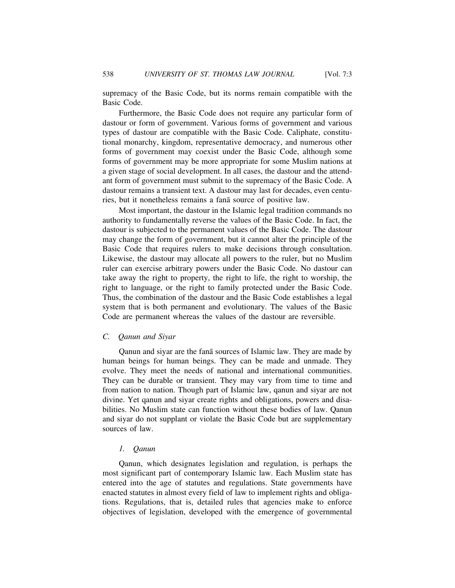supremacy of the Basic Code, but its norms remain compatible with the Basic Code.

Furthermore, the Basic Code does not require any particular form of dastour or form of government. Various forms of government and various types of dastour are compatible with the Basic Code. Caliphate, constitutional monarchy, kingdom, representative democracy, and numerous other forms of government may coexist under the Basic Code, although some forms of government may be more appropriate for some Muslim nations at a given stage of social development. In all cases, the dastour and the attendant form of government must submit to the supremacy of the Basic Code. A dastour remains a transient text. A dastour may last for decades, even centuries, but it nonetheless remains a fanā source of positive law.

Most important, the dastour in the Islamic legal tradition commands no authority to fundamentally reverse the values of the Basic Code. In fact, the dastour is subjected to the permanent values of the Basic Code. The dastour may change the form of government, but it cannot alter the principle of the Basic Code that requires rulers to make decisions through consultation. Likewise, the dastour may allocate all powers to the ruler, but no Muslim ruler can exercise arbitrary powers under the Basic Code. No dastour can take away the right to property, the right to life, the right to worship, the right to language, or the right to family protected under the Basic Code. Thus, the combination of the dastour and the Basic Code establishes a legal system that is both permanent and evolutionary. The values of the Basic Code are permanent whereas the values of the dastour are reversible.

#### *C. Qanun and Siyar*

Qanun and siyar are the fana sources of Islamic law. They are made by human beings for human beings. They can be made and unmade. They evolve. They meet the needs of national and international communities. They can be durable or transient. They may vary from time to time and from nation to nation. Though part of Islamic law, qanun and siyar are not divine. Yet qanun and siyar create rights and obligations, powers and disabilities. No Muslim state can function without these bodies of law. Qanun and siyar do not supplant or violate the Basic Code but are supplementary sources of law.

#### *1. Qanun*

Qanun, which designates legislation and regulation, is perhaps the most significant part of contemporary Islamic law. Each Muslim state has entered into the age of statutes and regulations. State governments have enacted statutes in almost every field of law to implement rights and obligations. Regulations, that is, detailed rules that agencies make to enforce objectives of legislation, developed with the emergence of governmental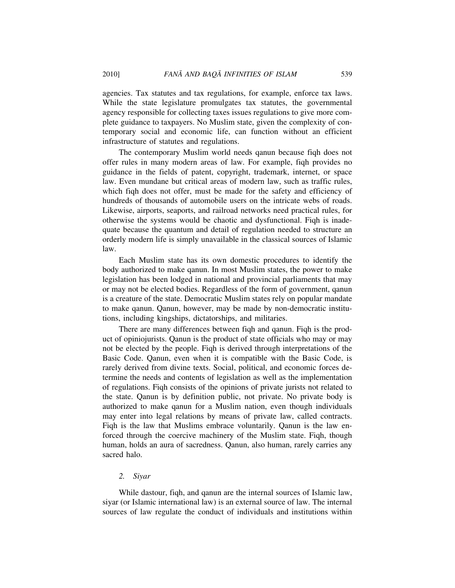agencies. Tax statutes and tax regulations, for example, enforce tax laws. While the state legislature promulgates tax statutes, the governmental agency responsible for collecting taxes issues regulations to give more complete guidance to taxpayers. No Muslim state, given the complexity of contemporary social and economic life, can function without an efficient infrastructure of statutes and regulations.

The contemporary Muslim world needs qanun because fiqh does not offer rules in many modern areas of law. For example, fiqh provides no guidance in the fields of patent, copyright, trademark, internet, or space law. Even mundane but critical areas of modern law, such as traffic rules, which fiqh does not offer, must be made for the safety and efficiency of hundreds of thousands of automobile users on the intricate webs of roads. Likewise, airports, seaports, and railroad networks need practical rules, for otherwise the systems would be chaotic and dysfunctional. Fiqh is inadequate because the quantum and detail of regulation needed to structure an orderly modern life is simply unavailable in the classical sources of Islamic law.

Each Muslim state has its own domestic procedures to identify the body authorized to make qanun. In most Muslim states, the power to make legislation has been lodged in national and provincial parliaments that may or may not be elected bodies. Regardless of the form of government, qanun is a creature of the state. Democratic Muslim states rely on popular mandate to make qanun. Qanun, however, may be made by non-democratic institutions, including kingships, dictatorships, and militaries.

There are many differences between fiqh and qanun. Fiqh is the product of opiniojurists. Qanun is the product of state officials who may or may not be elected by the people. Fiqh is derived through interpretations of the Basic Code. Qanun, even when it is compatible with the Basic Code, is rarely derived from divine texts. Social, political, and economic forces determine the needs and contents of legislation as well as the implementation of regulations. Fiqh consists of the opinions of private jurists not related to the state. Qanun is by definition public, not private. No private body is authorized to make qanun for a Muslim nation, even though individuals may enter into legal relations by means of private law, called contracts. Fiqh is the law that Muslims embrace voluntarily. Qanun is the law enforced through the coercive machinery of the Muslim state. Fiqh, though human, holds an aura of sacredness. Qanun, also human, rarely carries any sacred halo.

#### *2. Siyar*

While dastour, fiqh, and qanun are the internal sources of Islamic law, siyar (or Islamic international law) is an external source of law. The internal sources of law regulate the conduct of individuals and institutions within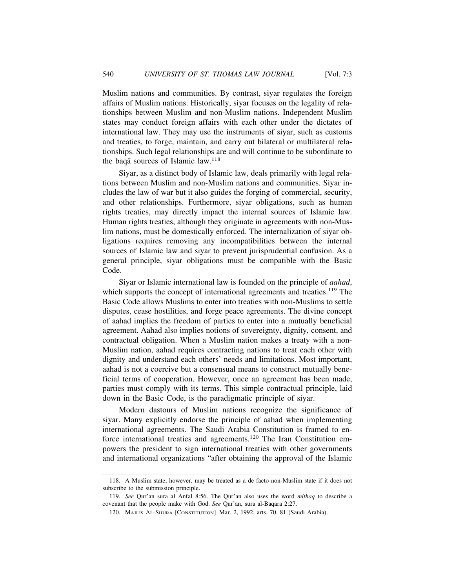Muslim nations and communities. By contrast, siyar regulates the foreign affairs of Muslim nations. Historically, siyar focuses on the legality of relationships between Muslim and non-Muslim nations. Independent Muslim states may conduct foreign affairs with each other under the dictates of international law. They may use the instruments of siyar, such as customs and treaties, to forge, maintain, and carry out bilateral or multilateral relationships. Such legal relationships are and will continue to be subordinate to the baga sources of Islamic law.<sup>118</sup>

Siyar, as a distinct body of Islamic law, deals primarily with legal relations between Muslim and non-Muslim nations and communities. Siyar includes the law of war but it also guides the forging of commercial, security, and other relationships. Furthermore, siyar obligations, such as human rights treaties, may directly impact the internal sources of Islamic law. Human rights treaties, although they originate in agreements with non-Muslim nations, must be domestically enforced. The internalization of siyar obligations requires removing any incompatibilities between the internal sources of Islamic law and siyar to prevent jurisprudential confusion. As a general principle, siyar obligations must be compatible with the Basic Code.

Siyar or Islamic international law is founded on the principle of *aahad*, which supports the concept of international agreements and treaties.<sup>119</sup> The Basic Code allows Muslims to enter into treaties with non-Muslims to settle disputes, cease hostilities, and forge peace agreements. The divine concept of aahad implies the freedom of parties to enter into a mutually beneficial agreement. Aahad also implies notions of sovereignty, dignity, consent, and contractual obligation. When a Muslim nation makes a treaty with a non-Muslim nation, aahad requires contracting nations to treat each other with dignity and understand each others' needs and limitations. Most important, aahad is not a coercive but a consensual means to construct mutually beneficial terms of cooperation. However, once an agreement has been made, parties must comply with its terms. This simple contractual principle, laid down in the Basic Code, is the paradigmatic principle of siyar.

Modern dastours of Muslim nations recognize the significance of siyar. Many explicitly endorse the principle of aahad when implementing international agreements. The Saudi Arabia Constitution is framed to enforce international treaties and agreements.120 The Iran Constitution empowers the president to sign international treaties with other governments and international organizations "after obtaining the approval of the Islamic

<sup>118.</sup> A Muslim state, however, may be treated as a de facto non-Muslim state if it does not subscribe to the submission principle.

<sup>119.</sup> *See* Qur'an sura al Anfal 8:56. The Qur'an also uses the word *mithaq* to describe a covenant that the people make with God. *See* Qur'an, sura al-Baqara 2:27.

<sup>120.</sup> MAJLIS AL-SHURA [CONSTITUTION] Mar. 2, 1992, arts. 70, 81 (Saudi Arabia).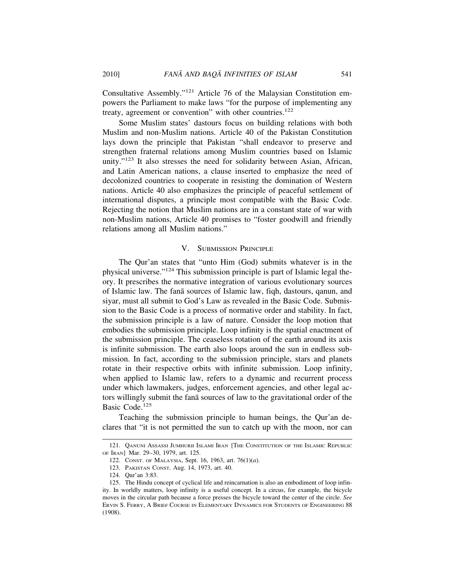Consultative Assembly."121 Article 76 of the Malaysian Constitution empowers the Parliament to make laws "for the purpose of implementing any treaty, agreement or convention" with other countries.<sup>122</sup>

Some Muslim states' dastours focus on building relations with both Muslim and non-Muslim nations. Article 40 of the Pakistan Constitution lays down the principle that Pakistan "shall endeavor to preserve and strengthen fraternal relations among Muslim countries based on Islamic unity."123 It also stresses the need for solidarity between Asian, African, and Latin American nations, a clause inserted to emphasize the need of decolonized countries to cooperate in resisting the domination of Western nations. Article 40 also emphasizes the principle of peaceful settlement of international disputes, a principle most compatible with the Basic Code. Rejecting the notion that Muslim nations are in a constant state of war with non-Muslim nations, Article 40 promises to "foster goodwill and friendly relations among all Muslim nations."

#### V. SUBMISSION PRINCIPLE

The Qur'an states that "unto Him (God) submits whatever is in the physical universe."124 This submission principle is part of Islamic legal theory. It prescribes the normative integration of various evolutionary sources of Islamic law. The fana sources of Islamic law, fiqh, dastours, qanun, and siyar, must all submit to God's Law as revealed in the Basic Code. Submission to the Basic Code is a process of normative order and stability. In fact, the submission principle is a law of nature. Consider the loop motion that embodies the submission principle. Loop infinity is the spatial enactment of the submission principle. The ceaseless rotation of the earth around its axis is infinite submission. The earth also loops around the sun in endless submission. In fact, according to the submission principle, stars and planets rotate in their respective orbits with infinite submission. Loop infinity, when applied to Islamic law, refers to a dynamic and recurrent process under which lawmakers, judges, enforcement agencies, and other legal actors willingly submit the fana sources of law to the gravitational order of the Basic Code.<sup>125</sup>

Teaching the submission principle to human beings, the Qur'an declares that "it is not permitted the sun to catch up with the moon, nor can

<sup>121.</sup> QANUNI ASSASSI JUMHURII ISLAMI IRAN [THE CONSTITUTION OF THE ISLAMIC REPUBLIC OF IRAN] Mar. 29–30, 1979, art. 125.

<sup>122.</sup> CONST. OF MALAYSIA, Sept. 16, 1963, art. 76(1)(*a*).

<sup>123.</sup> PAKISTAN CONST. Aug. 14, 1973, art. 40.

<sup>124.</sup> Qur'an 3:83.

<sup>125.</sup> The Hindu concept of cyclical life and reincarnation is also an embodiment of loop infinity. In worldly matters, loop infinity is a useful concept. In a circus, for example, the bicycle moves in the circular path because a force presses the bicycle toward the center of the circle. *See* ERVIN S. FERRY, A BRIEF COURSE IN ELEMENTARY DYNAMICS FOR STUDENTS OF ENGINEERING 88 (1908).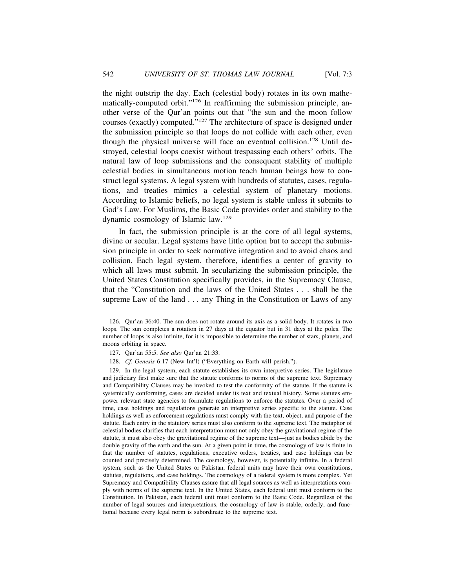the night outstrip the day. Each (celestial body) rotates in its own mathematically-computed orbit."126 In reaffirming the submission principle, another verse of the Qur'an points out that "the sun and the moon follow courses (exactly) computed."127 The architecture of space is designed under the submission principle so that loops do not collide with each other, even though the physical universe will face an eventual collision.<sup>128</sup> Until destroyed, celestial loops coexist without trespassing each others' orbits. The natural law of loop submissions and the consequent stability of multiple celestial bodies in simultaneous motion teach human beings how to construct legal systems. A legal system with hundreds of statutes, cases, regulations, and treaties mimics a celestial system of planetary motions. According to Islamic beliefs, no legal system is stable unless it submits to God's Law. For Muslims, the Basic Code provides order and stability to the dynamic cosmology of Islamic law.<sup>129</sup>

In fact, the submission principle is at the core of all legal systems, divine or secular. Legal systems have little option but to accept the submission principle in order to seek normative integration and to avoid chaos and collision. Each legal system, therefore, identifies a center of gravity to which all laws must submit. In secularizing the submission principle, the United States Constitution specifically provides, in the Supremacy Clause, that the "Constitution and the laws of the United States . . . shall be the supreme Law of the land . . . any Thing in the Constitution or Laws of any

<sup>126.</sup> Qur'an 36:40. The sun does not rotate around its axis as a solid body. It rotates in two loops. The sun completes a rotation in 27 days at the equator but in 31 days at the poles. The number of loops is also infinite, for it is impossible to determine the number of stars, planets, and moons orbiting in space.

<sup>127.</sup> Qur'an 55:5. *See also* Qur'an 21:33.

<sup>128.</sup> *Cf*. *Genesis* 6:17 (New Int'l) ("Everything on Earth will perish.").

<sup>129.</sup> In the legal system, each statute establishes its own interpretive series. The legislature and judiciary first make sure that the statute conforms to norms of the supreme text. Supremacy and Compatibility Clauses may be invoked to test the conformity of the statute. If the statute is systemically conforming, cases are decided under its text and textual history. Some statutes empower relevant state agencies to formulate regulations to enforce the statutes. Over a period of time, case holdings and regulations generate an interpretive series specific to the statute. Case holdings as well as enforcement regulations must comply with the text, object, and purpose of the statute. Each entry in the statutory series must also conform to the supreme text. The metaphor of celestial bodies clarifies that each interpretation must not only obey the gravitational regime of the statute, it must also obey the gravitational regime of the supreme text—just as bodies abide by the double gravity of the earth and the sun. At a given point in time, the cosmology of law is finite in that the number of statutes, regulations, executive orders, treaties, and case holdings can be counted and precisely determined. The cosmology, however, is potentially infinite. In a federal system, such as the United States or Pakistan, federal units may have their own constitutions, statutes, regulations, and case holdings. The cosmology of a federal system is more complex. Yet Supremacy and Compatibility Clauses assure that all legal sources as well as interpretations comply with norms of the supreme text. In the United States, each federal unit must conform to the Constitution. In Pakistan, each federal unit must conform to the Basic Code. Regardless of the number of legal sources and interpretations, the cosmology of law is stable, orderly, and functional because every legal norm is subordinate to the supreme text.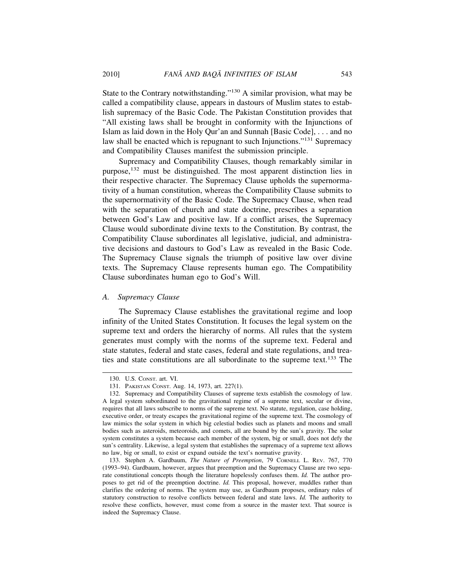State to the Contrary notwithstanding."130 A similar provision, what may be called a compatibility clause, appears in dastours of Muslim states to establish supremacy of the Basic Code. The Pakistan Constitution provides that "All existing laws shall be brought in conformity with the Injunctions of Islam as laid down in the Holy Qur'an and Sunnah [Basic Code], . . . and no law shall be enacted which is repugnant to such Injunctions."131 Supremacy and Compatibility Clauses manifest the submission principle.

Supremacy and Compatibility Clauses, though remarkably similar in purpose,132 must be distinguished. The most apparent distinction lies in their respective character. The Supremacy Clause upholds the supernormativity of a human constitution, whereas the Compatibility Clause submits to the supernormativity of the Basic Code. The Supremacy Clause, when read with the separation of church and state doctrine, prescribes a separation between God's Law and positive law. If a conflict arises, the Supremacy Clause would subordinate divine texts to the Constitution. By contrast, the Compatibility Clause subordinates all legislative, judicial, and administrative decisions and dastours to God's Law as revealed in the Basic Code. The Supremacy Clause signals the triumph of positive law over divine texts. The Supremacy Clause represents human ego. The Compatibility Clause subordinates human ego to God's Will.

#### *A. Supremacy Clause*

The Supremacy Clause establishes the gravitational regime and loop infinity of the United States Constitution. It focuses the legal system on the supreme text and orders the hierarchy of norms. All rules that the system generates must comply with the norms of the supreme text. Federal and state statutes, federal and state cases, federal and state regulations, and treaties and state constitutions are all subordinate to the supreme text.133 The

<sup>130.</sup> U.S. CONST. art. VI.

<sup>131.</sup> PAKISTAN CONST. Aug. 14, 1973, art. 227(1).

<sup>132.</sup> Supremacy and Compatibility Clauses of supreme texts establish the cosmology of law. A legal system subordinated to the gravitational regime of a supreme text, secular or divine, requires that all laws subscribe to norms of the supreme text. No statute, regulation, case holding, executive order, or treaty escapes the gravitational regime of the supreme text. The cosmology of law mimics the solar system in which big celestial bodies such as planets and moons and small bodies such as asteroids, meteoroids, and comets, all are bound by the sun's gravity. The solar system constitutes a system because each member of the system, big or small, does not defy the sun's centrality. Likewise, a legal system that establishes the supremacy of a supreme text allows no law, big or small, to exist or expand outside the text's normative gravity.

<sup>133.</sup> Stephen A. Gardbaum, *The Nature of Preemption*, 79 CORNELL L. REV. 767, 770 (1993–94). Gardbaum, however, argues that preemption and the Supremacy Clause are two separate constitutional concepts though the literature hopelessly confuses them. *Id.* The author proposes to get rid of the preemption doctrine. *Id.* This proposal, however, muddles rather than clarifies the ordering of norms. The system may use, as Gardbaum proposes, ordinary rules of statutory construction to resolve conflicts between federal and state laws. *Id.* The authority to resolve these conflicts, however, must come from a source in the master text. That source is indeed the Supremacy Clause.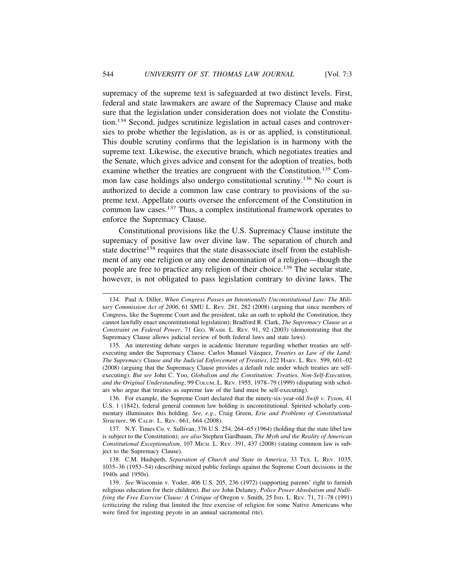supremacy of the supreme text is safeguarded at two distinct levels. First, federal and state lawmakers are aware of the Supremacy Clause and make sure that the legislation under consideration does not violate the Constitution.134 Second, judges scrutinize legislation in actual cases and controversies to probe whether the legislation, as is or as applied, is constitutional. This double scrutiny confirms that the legislation is in harmony with the supreme text. Likewise, the executive branch, which negotiates treaties and the Senate, which gives advice and consent for the adoption of treaties, both examine whether the treaties are congruent with the Constitution.135 Common law case holdings also undergo constitutional scrutiny.136 No court is authorized to decide a common law case contrary to provisions of the supreme text. Appellate courts oversee the enforcement of the Constitution in common law cases.137 Thus, a complex institutional framework operates to enforce the Supremacy Clause.

Constitutional provisions like the U.S. Supremacy Clause institute the supremacy of positive law over divine law. The separation of church and state doctrine<sup>138</sup> requires that the state disassociate itself from the establishment of any one religion or any one denomination of a religion—though the people are free to practice any religion of their choice.<sup>139</sup> The secular state, however, is not obligated to pass legislation contrary to divine laws. The

136. For example, the Supreme Court declared that the ninety-six-year-old *Swift v. Tyson*, 41 U.S. 1 (1842), federal general common law holding is unconstitutional. Spirited scholarly commentary illuminates this holding. *See, e.g.*, Craig Green, *Erie and Problems of Constitutional Structure*, 96 CALIF. L. REV. 661, 664 (2008).

137. N.Y. Times Co. v. Sullivan, 376 U.S. 254, 264–65 (1964) (holding that the state libel law is subject to the Constitution); *see also* Stephen Gardbaum, *The Myth and the Reality of American Constitutional Exceptionalism*, 107 MICH. L. REV. 391, 437 (2008) (stating common law is subject to the Supremacy Clause).

138. C.M. Hudspeth, *Separation of Church and State in America*, 33 TEX. L. REV. 1035, 1035–36 (1953–54) (describing mixed public feelings against the Supreme Court decisions in the 1940s and 1950s).

<sup>134.</sup> Paul A. Diller, *When Congress Passes an Intentionally Unconstitutional Law: The Military Commission Act of 2006*, 61 SMU L. Rev. 281, 282 (2008) (arguing that since members of Congress, like the Supreme Court and the president, take an oath to uphold the Constitution, they cannot lawfully enact unconstitutional legislation); Bradford R. Clark, *The Supremacy Clause as a Constraint on Federal Power*, 71 GEO. WASH. L. REV. 91, 92 (2003) (demonstrating that the Supremacy Clause allows judicial review of both federal laws and state laws).

<sup>135.</sup> An interesting debate surges in academic literature regarding whether treaties are selfexecuting under the Supremacy Clause. Carlos Manuel Vázquez, *Treaties as Law of the Land: The Supremacy Clause and the Judicial Enforcement of Treaties*, 122 HARV. L. REV. 599, 601–02 (2008) (arguing that the Supremacy Clause provides a default rule under which treaties are selfexecuting). *But see* John C. Yoo, *Globalism and the Constitution: Treaties, Non-Self-Execution, and the Original Understanding*, 99 COLUM. L. REV. 1955, 1978–79 (1999) (disputing with scholars who argue that treaties as supreme law of the land must be self-executing).

<sup>139.</sup> *See* Wisconsin v. Yoder, 406 U.S. 205, 236 (1972) (supporting parents' right to furnish religious education for their children). *But see* John Delaney, *Police Power Absolutism and Nullifying the Free Exercise Clause: A Critique of* Oregon v. Smith, 25 IND. L. REV. 71, 71–78 (1991) (criticizing the ruling that limited the free exercise of religion for some Native Americans who were fired for ingesting peyote in an annual sacramental rite).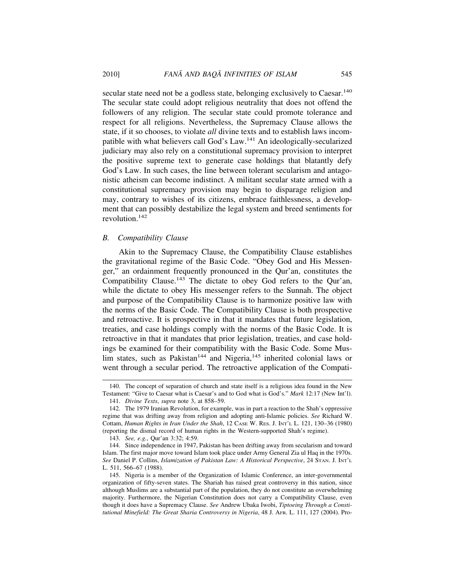secular state need not be a godless state, belonging exclusively to Caesar.<sup>140</sup> The secular state could adopt religious neutrality that does not offend the followers of any religion. The secular state could promote tolerance and respect for all religions. Nevertheless, the Supremacy Clause allows the state, if it so chooses, to violate *all* divine texts and to establish laws incompatible with what believers call God's Law.141 An ideologically-secularized judiciary may also rely on a constitutional supremacy provision to interpret the positive supreme text to generate case holdings that blatantly defy God's Law. In such cases, the line between tolerant secularism and antagonistic atheism can become indistinct. A militant secular state armed with a constitutional supremacy provision may begin to disparage religion and may, contrary to wishes of its citizens, embrace faithlessness, a development that can possibly destabilize the legal system and breed sentiments for revolution.142

#### *B. Compatibility Clause*

Akin to the Supremacy Clause, the Compatibility Clause establishes the gravitational regime of the Basic Code. "Obey God and His Messenger," an ordainment frequently pronounced in the Qur'an, constitutes the Compatibility Clause.143 The dictate to obey God refers to the Qur'an, while the dictate to obey His messenger refers to the Sunnah. The object and purpose of the Compatibility Clause is to harmonize positive law with the norms of the Basic Code. The Compatibility Clause is both prospective and retroactive. It is prospective in that it mandates that future legislation, treaties, and case holdings comply with the norms of the Basic Code. It is retroactive in that it mandates that prior legislation, treaties, and case holdings be examined for their compatibility with the Basic Code. Some Muslim states, such as Pakistan<sup>144</sup> and Nigeria,<sup>145</sup> inherited colonial laws or went through a secular period. The retroactive application of the Compati-

<sup>140.</sup> The concept of separation of church and state itself is a religious idea found in the New Testament: "Give to Caesar what is Caesar's and to God what is God's." *Mark* 12:17 (New Int'l).

<sup>141.</sup> *Divine Texts*, *supra* note 3, at 858–59.

<sup>142.</sup> The 1979 Iranian Revolution, for example, was in part a reaction to the Shah's oppressive regime that was drifting away from religion and adopting anti-Islamic policies. *See* Richard W. Cottam, *Human Rights in Iran Under the Shah*, 12 CASE W. RES. J. INT'L L. 121, 130–36 (1980) (reporting the dismal record of human rights in the Western-supported Shah's regime).

<sup>143.</sup> *See, e.g.*, Qur'an 3:32; 4:59.

<sup>144.</sup> Since independence in 1947, Pakistan has been drifting away from secularism and toward Islam. The first major move toward Islam took place under Army General Zia ul Haq in the 1970s. *See* Daniel P. Collins, *Islamization of Pakistan Law: A Historical Perspective*, 24 STAN. J. INT'L L. 511, 566–67 (1988).

<sup>145.</sup> Nigeria is a member of the Organization of Islamic Conference, an inter-governmental organization of fifty-seven states. The Shariah has raised great controversy in this nation, since although Muslims are a substantial part of the population, they do not constitute an overwhelming majority. Furthermore, the Nigerian Constitution does not carry a Compatibility Clause, even though it does have a Supremacy Clause. *See* Andrew Ubaka Iwobi, *Tiptoeing Through a Constitutional Minefield: The Great Sharia Controversy in Nigeria*, 48 J. AFR. L. 111, 127 (2004). Pro-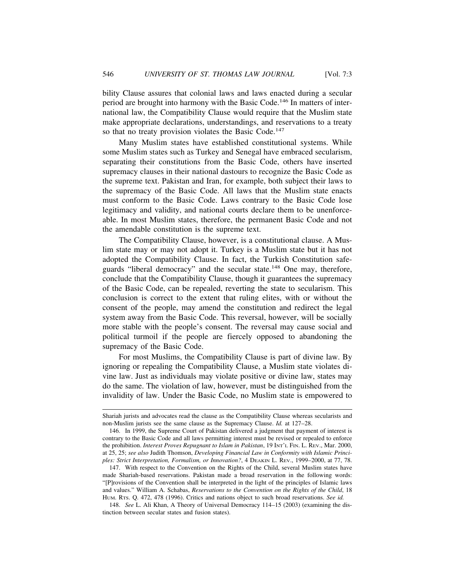bility Clause assures that colonial laws and laws enacted during a secular period are brought into harmony with the Basic Code.<sup>146</sup> In matters of international law, the Compatibility Clause would require that the Muslim state make appropriate declarations, understandings, and reservations to a treaty so that no treaty provision violates the Basic Code.<sup>147</sup>

Many Muslim states have established constitutional systems. While some Muslim states such as Turkey and Senegal have embraced secularism, separating their constitutions from the Basic Code, others have inserted supremacy clauses in their national dastours to recognize the Basic Code as the supreme text. Pakistan and Iran, for example, both subject their laws to the supremacy of the Basic Code. All laws that the Muslim state enacts must conform to the Basic Code. Laws contrary to the Basic Code lose legitimacy and validity, and national courts declare them to be unenforceable. In most Muslim states, therefore, the permanent Basic Code and not the amendable constitution is the supreme text.

The Compatibility Clause, however, is a constitutional clause. A Muslim state may or may not adopt it. Turkey is a Muslim state but it has not adopted the Compatibility Clause. In fact, the Turkish Constitution safeguards "liberal democracy" and the secular state.<sup>148</sup> One may, therefore, conclude that the Compatibility Clause, though it guarantees the supremacy of the Basic Code, can be repealed, reverting the state to secularism. This conclusion is correct to the extent that ruling elites, with or without the consent of the people, may amend the constitution and redirect the legal system away from the Basic Code. This reversal, however, will be socially more stable with the people's consent. The reversal may cause social and political turmoil if the people are fiercely opposed to abandoning the supremacy of the Basic Code.

For most Muslims, the Compatibility Clause is part of divine law. By ignoring or repealing the Compatibility Clause, a Muslim state violates divine law. Just as individuals may violate positive or divine law, states may do the same. The violation of law, however, must be distinguished from the invalidity of law. Under the Basic Code, no Muslim state is empowered to

Shariah jurists and advocates read the clause as the Compatibility Clause whereas secularists and non-Muslim jurists see the same clause as the Supremacy Clause. *Id.* at 127–28.

<sup>146.</sup> In 1999, the Supreme Court of Pakistan delivered a judgment that payment of interest is contrary to the Basic Code and all laws permitting interest must be revised or repealed to enforce the prohibition. *Interest Proves Repugnant to Islam in Pakistan*, 19 INT'L FIN. L. REV., Mar. 2000, at 25, 25; *see also* Judith Thomson, *Developing Financial Law in Conformity with Islamic Principles: Strict Interpretation, Formalism, or Innovation?*, 4 DEAKIN L. REV., 1999–2000, at 77, 78.

<sup>147.</sup> With respect to the Convention on the Rights of the Child, several Muslim states have made Shariah-based reservations. Pakistan made a broad reservation in the following words: "[P]rovisions of the Convention shall be interpreted in the light of the principles of Islamic laws and values." William A. Schabas, *Reservations to the Convention on the Rights of the Child*, 18 HUM. RTS. Q. 472, 478 (1996). Critics and nations object to such broad reservations. *See id.*

<sup>148.</sup> *See* L. Ali Khan, A Theory of Universal Democracy 114–15 (2003) (examining the distinction between secular states and fusion states).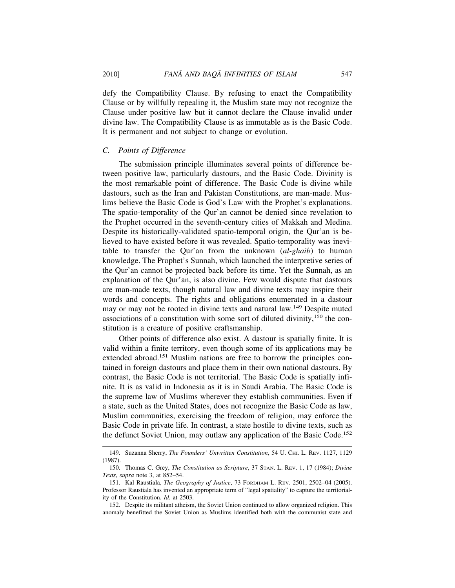defy the Compatibility Clause. By refusing to enact the Compatibility Clause or by willfully repealing it, the Muslim state may not recognize the Clause under positive law but it cannot declare the Clause invalid under divine law. The Compatibility Clause is as immutable as is the Basic Code. It is permanent and not subject to change or evolution.

#### *C. Points of Difference*

The submission principle illuminates several points of difference between positive law, particularly dastours, and the Basic Code. Divinity is the most remarkable point of difference. The Basic Code is divine while dastours, such as the Iran and Pakistan Constitutions, are man-made. Muslims believe the Basic Code is God's Law with the Prophet's explanations. The spatio-temporality of the Qur'an cannot be denied since revelation to the Prophet occurred in the seventh-century cities of Makkah and Medina. Despite its historically-validated spatio-temporal origin, the Qur'an is believed to have existed before it was revealed. Spatio-temporality was inevitable to transfer the Qur'an from the unknown (*al-ghaib*) to human knowledge. The Prophet's Sunnah, which launched the interpretive series of the Qur'an cannot be projected back before its time. Yet the Sunnah, as an explanation of the Qur'an, is also divine. Few would dispute that dastours are man-made texts, though natural law and divine texts may inspire their words and concepts. The rights and obligations enumerated in a dastour may or may not be rooted in divine texts and natural law.<sup>149</sup> Despite muted associations of a constitution with some sort of diluted divinity,  $150$  the constitution is a creature of positive craftsmanship.

Other points of difference also exist. A dastour is spatially finite. It is valid within a finite territory, even though some of its applications may be extended abroad.<sup>151</sup> Muslim nations are free to borrow the principles contained in foreign dastours and place them in their own national dastours. By contrast, the Basic Code is not territorial. The Basic Code is spatially infinite. It is as valid in Indonesia as it is in Saudi Arabia. The Basic Code is the supreme law of Muslims wherever they establish communities. Even if a state, such as the United States, does not recognize the Basic Code as law, Muslim communities, exercising the freedom of religion, may enforce the Basic Code in private life. In contrast, a state hostile to divine texts, such as the defunct Soviet Union, may outlaw any application of the Basic Code.<sup>152</sup>

<sup>149.</sup> Suzanna Sherry, *The Founders' Unwritten Constitution*, 54 U. CHI. L. REV. 1127, 1129 (1987).

<sup>150.</sup> Thomas C. Grey, *The Constitution as Scripture*, 37 STAN. L. REV. 1, 17 (1984); *Divine Texts*, *supra* note 3, at 852–54.

<sup>151.</sup> Kal Raustiala, *The Geography of Justice*, 73 FORDHAM L. REV. 2501, 2502–04 (2005). Professor Raustiala has invented an appropriate term of "legal spatiality" to capture the territoriality of the Constitution. *Id.* at 2503.

<sup>152.</sup> Despite its militant atheism, the Soviet Union continued to allow organized religion. This anomaly benefitted the Soviet Union as Muslims identified both with the communist state and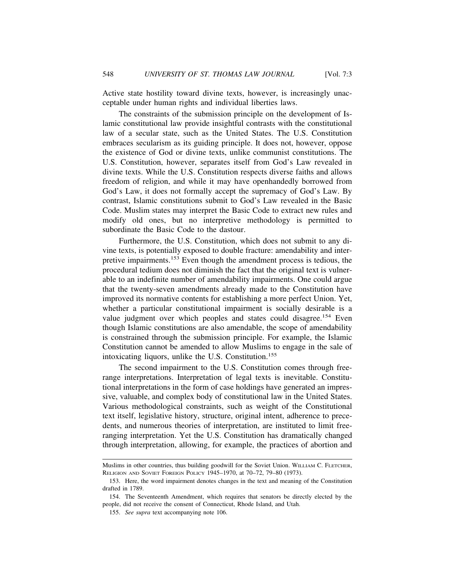Active state hostility toward divine texts, however, is increasingly unacceptable under human rights and individual liberties laws.

The constraints of the submission principle on the development of Islamic constitutional law provide insightful contrasts with the constitutional law of a secular state, such as the United States. The U.S. Constitution embraces secularism as its guiding principle. It does not, however, oppose the existence of God or divine texts, unlike communist constitutions. The U.S. Constitution, however, separates itself from God's Law revealed in divine texts. While the U.S. Constitution respects diverse faiths and allows freedom of religion, and while it may have openhandedly borrowed from God's Law, it does not formally accept the supremacy of God's Law. By contrast, Islamic constitutions submit to God's Law revealed in the Basic Code. Muslim states may interpret the Basic Code to extract new rules and modify old ones, but no interpretive methodology is permitted to subordinate the Basic Code to the dastour.

Furthermore, the U.S. Constitution, which does not submit to any divine texts, is potentially exposed to double fracture: amendability and interpretive impairments.153 Even though the amendment process is tedious, the procedural tedium does not diminish the fact that the original text is vulnerable to an indefinite number of amendability impairments. One could argue that the twenty-seven amendments already made to the Constitution have improved its normative contents for establishing a more perfect Union. Yet, whether a particular constitutional impairment is socially desirable is a value judgment over which peoples and states could disagree.<sup>154</sup> Even though Islamic constitutions are also amendable, the scope of amendability is constrained through the submission principle. For example, the Islamic Constitution cannot be amended to allow Muslims to engage in the sale of intoxicating liquors, unlike the U.S. Constitution.<sup>155</sup>

The second impairment to the U.S. Constitution comes through freerange interpretations. Interpretation of legal texts is inevitable. Constitutional interpretations in the form of case holdings have generated an impressive, valuable, and complex body of constitutional law in the United States. Various methodological constraints, such as weight of the Constitutional text itself, legislative history, structure, original intent, adherence to precedents, and numerous theories of interpretation, are instituted to limit freeranging interpretation. Yet the U.S. Constitution has dramatically changed through interpretation, allowing, for example, the practices of abortion and

Muslims in other countries, thus building goodwill for the Soviet Union. WILLIAM C. FLETCHER, RELIGION AND SOVIET FOREIGN POLICY 1945–1970, at 70–72, 79–80 (1973).

<sup>153.</sup> Here, the word impairment denotes changes in the text and meaning of the Constitution drafted in 1789.

<sup>154.</sup> The Seventeenth Amendment, which requires that senators be directly elected by the people, did not receive the consent of Connecticut, Rhode Island, and Utah.

<sup>155.</sup> *See supra* text accompanying note 106.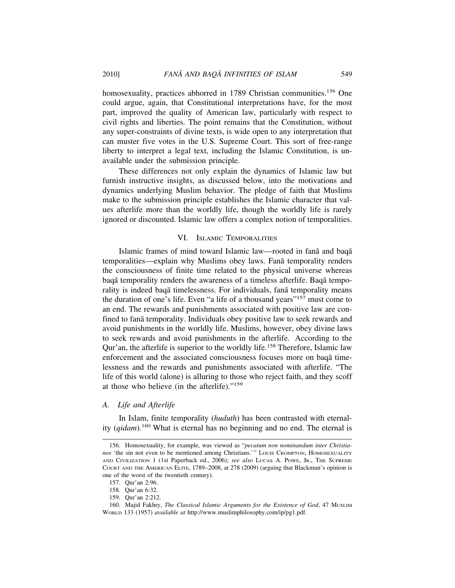homosexuality, practices abhorred in 1789 Christian communities.<sup>156</sup> One could argue, again, that Constitutional interpretations have, for the most part, improved the quality of American law, particularly with respect to civil rights and liberties. The point remains that the Constitution, without any super-constraints of divine texts, is wide open to any interpretation that can muster five votes in the U.S. Supreme Court. This sort of free-range liberty to interpret a legal text, including the Islamic Constitution, is unavailable under the submission principle.

These differences not only explain the dynamics of Islamic law but furnish instructive insights, as discussed below, into the motivations and dynamics underlying Muslim behavior. The pledge of faith that Muslims make to the submission principle establishes the Islamic character that values afterlife more than the worldly life, though the worldly life is rarely ignored or discounted. Islamic law offers a complex notion of temporalities.

#### VI. ISLAMIC TEMPORALITIES

Islamic frames of mind toward Islamic law—rooted in fana and baqa temporalities—explain why Muslims obey laws. Fana temporality renders the consciousness of finite time related to the physical universe whereas bagā temporality renders the awareness of a timeless afterlife. Bagā temporality is indeed baqā timelessness. For individuals, fanā temporality means the duration of one's life. Even "a life of a thousand years"157 must come to an end. The rewards and punishments associated with positive law are confined to fanā temporality. Individuals obey positive law to seek rewards and avoid punishments in the worldly life. Muslims, however, obey divine laws to seek rewards and avoid punishments in the afterlife. According to the Qur'an, the afterlife is superior to the worldly life.158 Therefore, Islamic law enforcement and the associated consciousness focuses more on baqa timelessness and the rewards and punishments associated with afterlife. "The life of this world (alone) is alluring to those who reject faith, and they scoff at those who believe (in the afterlife)."<sup>159</sup>

#### *A. Life and Afterlife*

In Islam, finite temporality (*huduth*) has been contrasted with eternality (*qidam*).160 What is eternal has no beginning and no end. The eternal is

<sup>156.</sup> Homosexuality, for example, was viewed as "*pecatum non nominandum inter Christia*nos 'the sin not even to be mentioned among Christians.'" LOUIS CROMPTON, HOMOSEXUALITY AND CIVILIZATION 1 (1st Paperback ed., 2006); *see also* LUCAS A. POWE, JR., THE SUPREME COURT AND THE AMERICAN ELITE, 1789–2008, at 278 (2009) (arguing that Blackmun's opinion is one of the worst of the twentieth century).

<sup>157.</sup> Qur'an 2:96.

<sup>158.</sup> Qur'an 6:32.

<sup>159.</sup> Qur'an 2:212.

<sup>160.</sup> Majid Fakhry, *The Classical Islamic Arguments for the Existence of God*, 47 MUSLIM WORLD 133 (1957) *available at* http://www.muslimphilosophy.com/ip/pg1.pdf.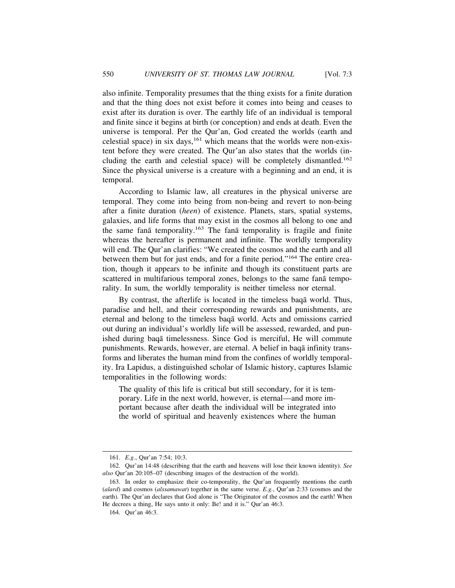also infinite. Temporality presumes that the thing exists for a finite duration and that the thing does not exist before it comes into being and ceases to exist after its duration is over. The earthly life of an individual is temporal and finite since it begins at birth (or conception) and ends at death. Even the universe is temporal. Per the Qur'an, God created the worlds (earth and celestial space) in six days, $161$  which means that the worlds were non-existent before they were created. The Qur'an also states that the worlds (including the earth and celestial space) will be completely dismantled.<sup>162</sup> Since the physical universe is a creature with a beginning and an end, it is temporal.

According to Islamic law, all creatures in the physical universe are temporal. They come into being from non-being and revert to non-being after a finite duration (*heen*) of existence. Planets, stars, spatial systems, galaxies, and life forms that may exist in the cosmos all belong to one and the same fan $\bar{a}$  temporality.<sup>163</sup> The fan $\bar{a}$  temporality is fragile and finite whereas the hereafter is permanent and infinite. The worldly temporality will end. The Qur'an clarifies: "We created the cosmos and the earth and all between them but for just ends, and for a finite period."164 The entire creation, though it appears to be infinite and though its constituent parts are scattered in multifarious temporal zones, belongs to the same fan $\bar{a}$  temporality. In sum, the worldly temporality is neither timeless nor eternal.

By contrast, the afterlife is located in the timeless baga world. Thus, paradise and hell, and their corresponding rewards and punishments, are eternal and belong to the timeless baq $\bar{a}$  world. Acts and omissions carried out during an individual's worldly life will be assessed, rewarded, and punished during baqā timelessness. Since God is merciful, He will commute punishments. Rewards, however, are eternal. A belief in baqā infinity transforms and liberates the human mind from the confines of worldly temporality. Ira Lapidus, a distinguished scholar of Islamic history, captures Islamic temporalities in the following words:

The quality of this life is critical but still secondary, for it is temporary. Life in the next world, however, is eternal—and more important because after death the individual will be integrated into the world of spiritual and heavenly existences where the human

<sup>161.</sup> *E.g.*, Qur'an 7:54; 10:3.

<sup>162.</sup> Qur'an 14:48 (describing that the earth and heavens will lose their known identity). *See also* Qur'an 20:105–07 (describing images of the destruction of the world).

<sup>163.</sup> In order to emphasize their co-temporality, the Qur'an frequently mentions the earth (*alard*) and cosmos (*alssamawat*) together in the same verse. *E.g.*, Qur'an 2:33 (cosmos and the earth). The Qur'an declares that God alone is "The Originator of the cosmos and the earth! When He decrees a thing, He says unto it only: Be! and it is." Qur'an 46:3.

<sup>164.</sup> Qur'an 46:3.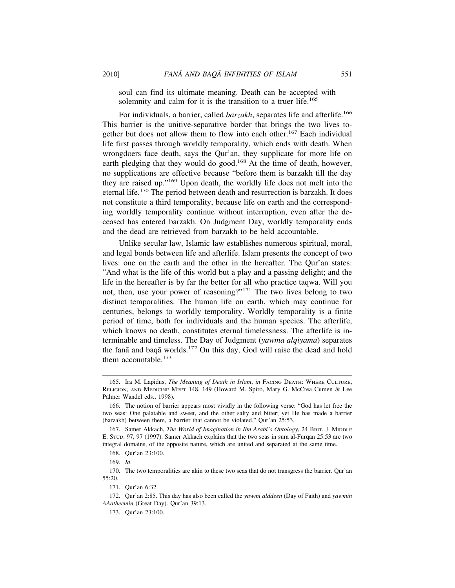soul can find its ultimate meaning. Death can be accepted with solemnity and calm for it is the transition to a truer life.<sup>165</sup>

For individuals, a barrier, called *barzakh*, separates life and afterlife.<sup>166</sup> This barrier is the unitive-separative border that brings the two lives together but does not allow them to flow into each other.167 Each individual life first passes through worldly temporality, which ends with death. When wrongdoers face death, says the Qur'an, they supplicate for more life on earth pledging that they would do good.<sup>168</sup> At the time of death, however, no supplications are effective because "before them is barzakh till the day they are raised up."169 Upon death, the worldly life does not melt into the eternal life.170 The period between death and resurrection is barzakh. It does not constitute a third temporality, because life on earth and the corresponding worldly temporality continue without interruption, even after the deceased has entered barzakh. On Judgment Day, worldly temporality ends and the dead are retrieved from barzakh to be held accountable.

Unlike secular law, Islamic law establishes numerous spiritual, moral, and legal bonds between life and afterlife. Islam presents the concept of two lives: one on the earth and the other in the hereafter. The Qur'an states: "And what is the life of this world but a play and a passing delight; and the life in the hereafter is by far the better for all who practice taqwa. Will you not, then, use your power of reasoning?"171 The two lives belong to two distinct temporalities. The human life on earth, which may continue for centuries, belongs to worldly temporality. Worldly temporality is a finite period of time, both for individuals and the human species. The afterlife, which knows no death, constitutes eternal timelessness. The afterlife is interminable and timeless. The Day of Judgment (*yawma alqiyama*) separates the fanā and baqā worlds.<sup>172</sup> On this day, God will raise the dead and hold them accountable.<sup>173</sup>

<sup>165.</sup> Ira M. Lapidus, *The Meaning of Death in Islam*, *in* FACING DEATH: WHERE CULTURE, RELIGION, AND MEDICINE MEET 148, 149 (Howard M. Spiro, Mary G. McCrea Cumen & Lee Palmer Wandel eds., 1998).

<sup>166.</sup> The notion of barrier appears most vividly in the following verse: "God has let free the two seas: One palatable and sweet, and the other salty and bitter; yet He has made a barrier (barzakh) between them, a barrier that cannot be violated." Qur'an 25:53.

<sup>167.</sup> Samer Akkach, *The World of Imagination in Ibn Arabi's Ontology*, 24 BRIT. J. MIDDLE E. STUD. 97, 97 (1997). Samer Akkach explains that the two seas in sura al-Furqan 25:53 are two integral domains, of the opposite nature, which are united and separated at the same time.

<sup>168.</sup> Qur'an 23:100.

<sup>169.</sup> *Id.*

<sup>170.</sup> The two temporalities are akin to these two seas that do not transgress the barrier. Qur'an 55:20.

<sup>171.</sup> Qur'an 6:32.

<sup>172.</sup> Qur'an 2:85. This day has also been called the *yawmi alddeen* (Day of Faith) and *yawmin AAatheemin* (Great Day). Qur'an 39:13.

<sup>173.</sup> Qur'an 23:100.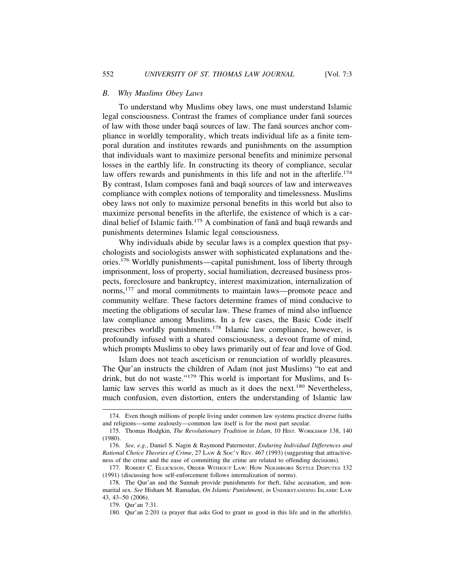#### *B. Why Muslims Obey Laws*

To understand why Muslims obey laws, one must understand Islamic legal consciousness. Contrast the frames of compliance under fana sources of law with those under baqa sources of law. The fana sources anchor compliance in worldly temporality, which treats individual life as a finite temporal duration and institutes rewards and punishments on the assumption that individuals want to maximize personal benefits and minimize personal losses in the earthly life. In constructing its theory of compliance, secular law offers rewards and punishments in this life and not in the afterlife.<sup>174</sup> By contrast, Islam composes fana and baqa sources of law and interweaves compliance with complex notions of temporality and timelessness. Muslims obey laws not only to maximize personal benefits in this world but also to maximize personal benefits in the afterlife, the existence of which is a cardinal belief of Islamic faith.<sup>175</sup> A combination of fana and baqa rewards and punishments determines Islamic legal consciousness.

Why individuals abide by secular laws is a complex question that psychologists and sociologists answer with sophisticated explanations and theories.176 Worldly punishments—capital punishment, loss of liberty through imprisonment, loss of property, social humiliation, decreased business prospects, foreclosure and bankruptcy, interest maximization, internalization of norms,<sup>177</sup> and moral commitments to maintain laws—promote peace and community welfare. These factors determine frames of mind conducive to meeting the obligations of secular law. These frames of mind also influence law compliance among Muslims. In a few cases, the Basic Code itself prescribes worldly punishments.178 Islamic law compliance, however, is profoundly infused with a shared consciousness, a devout frame of mind, which prompts Muslims to obey laws primarily out of fear and love of God.

Islam does not teach asceticism or renunciation of worldly pleasures. The Qur'an instructs the children of Adam (not just Muslims) "to eat and drink, but do not waste."179 This world is important for Muslims, and Islamic law serves this world as much as it does the next.180 Nevertheless, much confusion, even distortion, enters the understanding of Islamic law

<sup>174.</sup> Even though millions of people living under common law systems practice diverse faiths and religions—some zealously—common law itself is for the most part secular.

<sup>175.</sup> Thomas Hodgkin, *The Revolutionary Tradition in Islam*, 10 HIST. WORKSHOP 138, 140 (1980).

<sup>176.</sup> *See, e.g.*, Daniel S. Nagin & Raymond Paternoster, *Enduring Individual Differences and Rational Choice Theories of Crime, 27 LAW & Soc'y REV. 467 (1993) (suggesting that attractive*ness of the crime and the ease of committing the crime are related to offending decisions).

<sup>177.</sup> ROBERT C. ELLICKSON, ORDER WITHOUT LAW: HOW NEIGHBORS SETTLE DISPUTES 132 (1991) (discussing how self-enforcement follows internalization of norms).

<sup>178.</sup> The Qur'an and the Sunnah provide punishments for theft, false accusation, and nonmarital sex. *See* Hisham M. Ramadan, *On Islamic Punishment*, *in* UNDERSTANDING ISLAMIC LAW 43, 43–50 (2006).

<sup>179.</sup> Qur'an 7:31.

<sup>180.</sup> Qur'an 2:201 (a prayer that asks God to grant us good in this life and in the afterlife).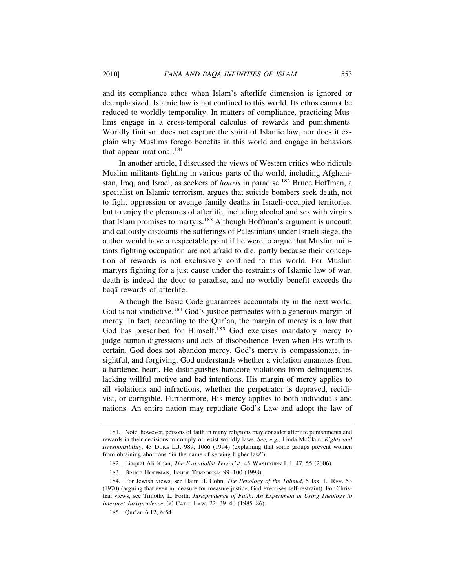and its compliance ethos when Islam's afterlife dimension is ignored or deemphasized. Islamic law is not confined to this world. Its ethos cannot be reduced to worldly temporality. In matters of compliance, practicing Muslims engage in a cross-temporal calculus of rewards and punishments. Worldly finitism does not capture the spirit of Islamic law, nor does it explain why Muslims forego benefits in this world and engage in behaviors that appear irrational. $181$ 

In another article, I discussed the views of Western critics who ridicule Muslim militants fighting in various parts of the world, including Afghanistan, Iraq, and Israel, as seekers of *houris* in paradise.182 Bruce Hoffman, a specialist on Islamic terrorism, argues that suicide bombers seek death, not to fight oppression or avenge family deaths in Israeli-occupied territories, but to enjoy the pleasures of afterlife, including alcohol and sex with virgins that Islam promises to martyrs.183 Although Hoffman's argument is uncouth and callously discounts the sufferings of Palestinians under Israeli siege, the author would have a respectable point if he were to argue that Muslim militants fighting occupation are not afraid to die, partly because their conception of rewards is not exclusively confined to this world. For Muslim martyrs fighting for a just cause under the restraints of Islamic law of war, death is indeed the door to paradise, and no worldly benefit exceeds the baqā rewards of afterlife.

Although the Basic Code guarantees accountability in the next world, God is not vindictive.<sup>184</sup> God's justice permeates with a generous margin of mercy. In fact, according to the Qur'an, the margin of mercy is a law that God has prescribed for Himself.<sup>185</sup> God exercises mandatory mercy to judge human digressions and acts of disobedience. Even when His wrath is certain, God does not abandon mercy. God's mercy is compassionate, insightful, and forgiving. God understands whether a violation emanates from a hardened heart. He distinguishes hardcore violations from delinquencies lacking willful motive and bad intentions. His margin of mercy applies to all violations and infractions, whether the perpetrator is depraved, recidivist, or corrigible. Furthermore, His mercy applies to both individuals and nations. An entire nation may repudiate God's Law and adopt the law of

<sup>181.</sup> Note, however, persons of faith in many religions may consider afterlife punishments and rewards in their decisions to comply or resist worldly laws. *See, e.g.*, Linda McClain, *Rights and Irresponsibility*, 43 DUKE L.J. 989, 1066 (1994) (explaining that some groups prevent women from obtaining abortions "in the name of serving higher law").

<sup>182.</sup> Liaquat Ali Khan, *The Essentialist Terrorist*, 45 WASHBURN L.J. 47, 55 (2006).

<sup>183.</sup> BRUCE HOFFMAN, INSIDE TERRORISM 99–100 (1998).

<sup>184.</sup> For Jewish views, see Haim H. Cohn, *The Penology of the Talmud*, 5 ISR. L. REV. 53 (1970) (arguing that even in measure for measure justice, God exercises self-restraint). For Christian views, see Timothy L. Forth, *Jurisprudence of Faith: An Experiment in Using Theology to Interpret Jurisprudence*, 30 CATH. LAW. 22, 39–40 (1985–86).

<sup>185.</sup> Qur'an 6:12; 6:54.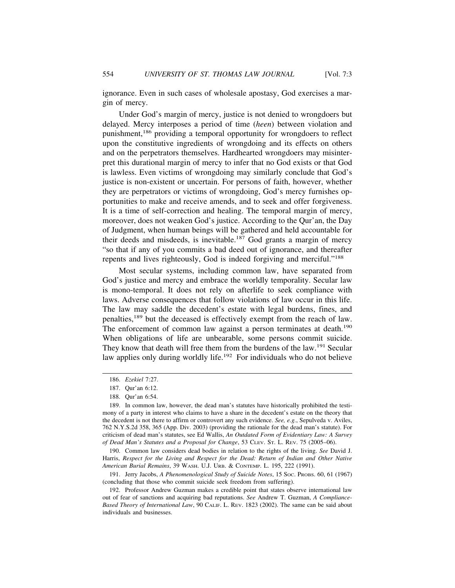ignorance. Even in such cases of wholesale apostasy, God exercises a margin of mercy.

Under God's margin of mercy, justice is not denied to wrongdoers but delayed. Mercy interposes a period of time (*heen*) between violation and punishment,186 providing a temporal opportunity for wrongdoers to reflect upon the constitutive ingredients of wrongdoing and its effects on others and on the perpetrators themselves. Hardhearted wrongdoers may misinterpret this durational margin of mercy to infer that no God exists or that God is lawless. Even victims of wrongdoing may similarly conclude that God's justice is non-existent or uncertain. For persons of faith, however, whether they are perpetrators or victims of wrongdoing, God's mercy furnishes opportunities to make and receive amends, and to seek and offer forgiveness. It is a time of self-correction and healing. The temporal margin of mercy, moreover, does not weaken God's justice. According to the Qur'an, the Day of Judgment, when human beings will be gathered and held accountable for their deeds and misdeeds, is inevitable.<sup>187</sup> God grants a margin of mercy "so that if any of you commits a bad deed out of ignorance, and thereafter repents and lives righteously, God is indeed forgiving and merciful."<sup>188</sup>

Most secular systems, including common law, have separated from God's justice and mercy and embrace the worldly temporality. Secular law is mono-temporal. It does not rely on afterlife to seek compliance with laws. Adverse consequences that follow violations of law occur in this life. The law may saddle the decedent's estate with legal burdens, fines, and penalties,<sup>189</sup> but the deceased is effectively exempt from the reach of law. The enforcement of common law against a person terminates at death.<sup>190</sup> When obligations of life are unbearable, some persons commit suicide. They know that death will free them from the burdens of the law.<sup>191</sup> Secular law applies only during worldly life.<sup>192</sup> For individuals who do not believe

190. Common law considers dead bodies in relation to the rights of the living. *See* David J. Harris, *Respect for the Living and Respect for the Dead: Return of Indian and Other Native American Burial Remains*, 39 WASH. U.J. URB. & CONTEMP. L. 195, 222 (1991).

191. Jerry Jacobs, *A Phenomenological Study of Suicide Notes*, 15 SOC. PROBS. 60, 61 (1967) (concluding that those who commit suicide seek freedom from suffering).

<sup>186.</sup> *Ezekiel* 7:27.

<sup>187.</sup> Qur'an 6:12.

<sup>188.</sup> Qur'an 6:54.

<sup>189.</sup> In common law, however, the dead man's statutes have historically prohibited the testimony of a party in interest who claims to have a share in the decedent's estate on the theory that the decedent is not there to affirm or controvert any such evidence. *See, e.g.*, Sepulveda v. Aviles, 762 N.Y.S.2d 358, 365 (App. Div. 2003) (providing the rationale for the dead man's statute). For criticism of dead man's statutes, see Ed Wallis, *An Outdated Form of Evidentiary Law: A Survey of Dead Man's Statutes and a Proposal for Change*, 53 CLEV. ST. L. REV. 75 (2005–06).

<sup>192.</sup> Professor Andrew Guzman makes a credible point that states observe international law out of fear of sanctions and acquiring bad reputations. *See* Andrew T. Guzman, *A Compliance-Based Theory of International Law*, 90 CALIF. L. REV. 1823 (2002). The same can be said about individuals and businesses.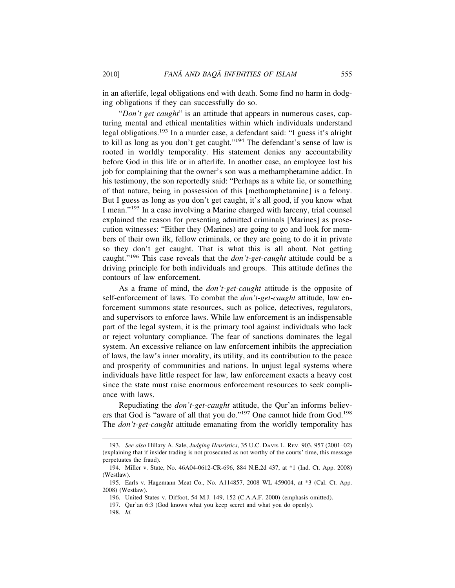in an afterlife, legal obligations end with death. Some find no harm in dodging obligations if they can successfully do so.

"*Don't get caught*" is an attitude that appears in numerous cases, capturing mental and ethical mentalities within which individuals understand legal obligations.193 In a murder case, a defendant said: "I guess it's alright to kill as long as you don't get caught."194 The defendant's sense of law is rooted in worldly temporality. His statement denies any accountability before God in this life or in afterlife. In another case, an employee lost his job for complaining that the owner's son was a methamphetamine addict. In his testimony, the son reportedly said: "Perhaps as a white lie, or something of that nature, being in possession of this [methamphetamine] is a felony. But I guess as long as you don't get caught, it's all good, if you know what I mean."195 In a case involving a Marine charged with larceny, trial counsel explained the reason for presenting admitted criminals [Marines] as prosecution witnesses: "Either they (Marines) are going to go and look for members of their own ilk, fellow criminals, or they are going to do it in private so they don't get caught. That is what this is all about. Not getting caught."196 This case reveals that the *don't-get-caught* attitude could be a driving principle for both individuals and groups. This attitude defines the contours of law enforcement.

As a frame of mind, the *don't-get-caught* attitude is the opposite of self-enforcement of laws. To combat the *don't-get-caught* attitude, law enforcement summons state resources, such as police, detectives, regulators, and supervisors to enforce laws. While law enforcement is an indispensable part of the legal system, it is the primary tool against individuals who lack or reject voluntary compliance. The fear of sanctions dominates the legal system. An excessive reliance on law enforcement inhibits the appreciation of laws, the law's inner morality, its utility, and its contribution to the peace and prosperity of communities and nations. In unjust legal systems where individuals have little respect for law, law enforcement exacts a heavy cost since the state must raise enormous enforcement resources to seek compliance with laws.

Repudiating the *don't-get-caught* attitude, the Qur'an informs believers that God is "aware of all that you do."197 One cannot hide from God.198 The *don't-get-caught* attitude emanating from the worldly temporality has

197. Qur'an 6:3 (God knows what you keep secret and what you do openly).

<sup>193.</sup> *See also* Hillary A. Sale, *Judging Heuristics*, 35 U.C. DAVIS L. REV. 903, 957 (2001–02) (explaining that if insider trading is not prosecuted as not worthy of the courts' time, this message perpetuates the fraud).

<sup>194.</sup> Miller v. State, No. 46A04-0612-CR-696, 884 N.E.2d 437, at \*1 (Ind. Ct. App. 2008) (Westlaw).

<sup>195.</sup> Earls v. Hagemann Meat Co., No. A114857, 2008 WL 459004, at \*3 (Cal. Ct. App. 2008) (Westlaw).

<sup>196.</sup> United States v. Diffoot, 54 M.J. 149, 152 (C.A.A.F. 2000) (emphasis omitted).

<sup>198.</sup> *Id.*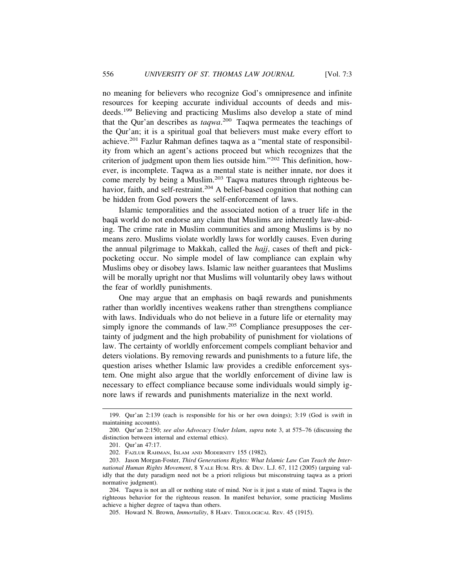no meaning for believers who recognize God's omnipresence and infinite resources for keeping accurate individual accounts of deeds and misdeeds.199 Believing and practicing Muslims also develop a state of mind that the Qur'an describes as *taqwa*. 200 Taqwa permeates the teachings of the Qur'an; it is a spiritual goal that believers must make every effort to achieve.201 Fazlur Rahman defines taqwa as a "mental state of responsibility from which an agent's actions proceed but which recognizes that the criterion of judgment upon them lies outside him."202 This definition, however, is incomplete. Taqwa as a mental state is neither innate, nor does it come merely by being a Muslim.203 Taqwa matures through righteous behavior, faith, and self-restraint.<sup>204</sup> A belief-based cognition that nothing can be hidden from God powers the self-enforcement of laws.

Islamic temporalities and the associated notion of a truer life in the baqā world do not endorse any claim that Muslims are inherently law-abiding. The crime rate in Muslim communities and among Muslims is by no means zero. Muslims violate worldly laws for worldly causes. Even during the annual pilgrimage to Makkah, called the *hajj*, cases of theft and pickpocketing occur. No simple model of law compliance can explain why Muslims obey or disobey laws. Islamic law neither guarantees that Muslims will be morally upright nor that Muslims will voluntarily obey laws without the fear of worldly punishments.

One may argue that an emphasis on baqa rewards and punishments rather than worldly incentives weakens rather than strengthens compliance with laws. Individuals who do not believe in a future life or eternality may simply ignore the commands of law.<sup>205</sup> Compliance presupposes the certainty of judgment and the high probability of punishment for violations of law. The certainty of worldly enforcement compels compliant behavior and deters violations. By removing rewards and punishments to a future life, the question arises whether Islamic law provides a credible enforcement system. One might also argue that the worldly enforcement of divine law is necessary to effect compliance because some individuals would simply ignore laws if rewards and punishments materialize in the next world.

<sup>199.</sup> Qur'an 2:139 (each is responsible for his or her own doings); 3:19 (God is swift in maintaining accounts).

<sup>200.</sup> Qur'an 2:150; *see also Advocacy Under Islam*, *supra* note 3, at 575–76 (discussing the distinction between internal and external ethics).

<sup>201.</sup> Qur'an 47:17.

<sup>202.</sup> FAZLUR RAHMAN, ISLAM AND MODERNITY 155 (1982).

<sup>203.</sup> Jason Morgan-Foster, *Third Generations Rights: What Islamic Law Can Teach the International Human Rights Movement*, 8 YALE HUM. RTS. & DEV. L.J. 67, 112 (2005) (arguing validly that the duty paradigm need not be a priori religious but misconstruing taqwa as a priori normative judgment).

<sup>204.</sup> Taqwa is not an all or nothing state of mind. Nor is it just a state of mind. Taqwa is the righteous behavior for the righteous reason. In manifest behavior, some practicing Muslims achieve a higher degree of taqwa than others.

<sup>205.</sup> Howard N. Brown, *Immortality*, 8 HARV. THEOLOGICAL REV. 45 (1915).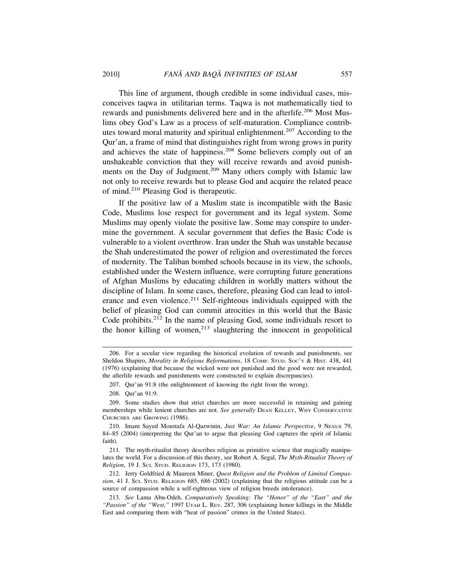This line of argument, though credible in some individual cases, misconceives taqwa in utilitarian terms. Taqwa is not mathematically tied to rewards and punishments delivered here and in the afterlife.<sup>206</sup> Most Muslims obey God's Law as a process of self-maturation. Compliance contributes toward moral maturity and spiritual enlightenment.207 According to the Qur'an, a frame of mind that distinguishes right from wrong grows in purity and achieves the state of happiness.<sup>208</sup> Some believers comply out of an unshakeable conviction that they will receive rewards and avoid punishments on the Day of Judgment.<sup>209</sup> Many others comply with Islamic law not only to receive rewards but to please God and acquire the related peace of mind.210 Pleasing God is therapeutic.

If the positive law of a Muslim state is incompatible with the Basic Code, Muslims lose respect for government and its legal system. Some Muslims may openly violate the positive law. Some may conspire to undermine the government. A secular government that defies the Basic Code is vulnerable to a violent overthrow. Iran under the Shah was unstable because the Shah underestimated the power of religion and overestimated the forces of modernity. The Taliban bombed schools because in its view, the schools, established under the Western influence, were corrupting future generations of Afghan Muslims by educating children in worldly matters without the discipline of Islam. In some cases, therefore, pleasing God can lead to intolerance and even violence.<sup>211</sup> Self-righteous individuals equipped with the belief of pleasing God can commit atrocities in this world that the Basic Code prohibits.212 In the name of pleasing God, some individuals resort to the honor killing of women, $213$  slaughtering the innocent in geopolitical

<sup>206.</sup> For a secular view regarding the historical evolution of rewards and punishments, see Sheldon Shapiro, *Morality in Religious Reformations*, 18 COMP. STUD. SOC'Y & HIST. 438, 441 (1976) (explaining that because the wicked were not punished and the good were not rewarded, the afterlife rewards and punishments were constructed to explain discrepancies).

<sup>207.</sup> Qur'an 91:8 (the enlightenment of knowing the right from the wrong).

<sup>208.</sup> Qur'an 91:9.

<sup>209.</sup> Some studies show that strict churches are more successful in retaining and gaining memberships while lenient churches are not. *See generally* DEAN KELLEY, WHY CONSERVATIVE CHURCHES ARE GROWING (1986).

<sup>210.</sup> Imam Sayed Moustafa Al-Qazwinin, *Just War: An Islamic Perspective*, 9 NEXUS 79, 84–85 (2004) (interpreting the Qur'an to argue that pleasing God captures the spirit of Islamic faith).

<sup>211.</sup> The myth-ritualist theory describes religion as primitive science that magically manipulates the world. For a discussion of this theory, see Robert A. Segal, *The Myth-Ritualist Theory of Religion*, 19 J. SCI. STUD. RELIGION 173, 173 (1980).

<sup>212.</sup> Jerry Goldfried & Maureen Miner, *Quest Religion and the Problem of Limited Compassion*, 41 J. SCI. STUD. RELIGION 685, 686 (2002) (explaining that the religious attitude can be a source of compassion while a self-righteous view of religion breeds intolerance).

<sup>213.</sup> *See* Lama Abu-Odeh, *Comparatively Speaking: The "Honor" of the "East" and the "Passion" of the "West*,*"* 1997 UTAH L. REV. 287, 306 (explaining honor killings in the Middle East and comparing them with "heat of passion" crimes in the United States).